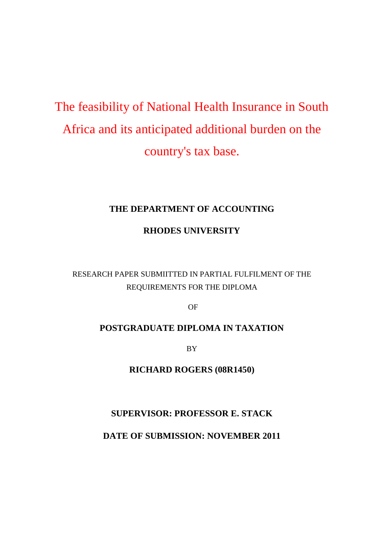# The feasibility of National Health Insurance in South Africa and its anticipated additional burden on the country's tax base.

# **THE DEPARTMENT OF ACCOUNTING**

# **RHODES UNIVERSITY**

# RESEARCH PAPER SUBMIITTED IN PARTIAL FULFILMENT OF THE REQUIREMENTS FOR THE DIPLOMA

OF

# **POSTGRADUATE DIPLOMA IN TAXATION**

BY

**RICHARD ROGERS (08R1450)**

# **SUPERVISOR: PROFESSOR E. STACK**

**DATE OF SUBMISSION: NOVEMBER 2011**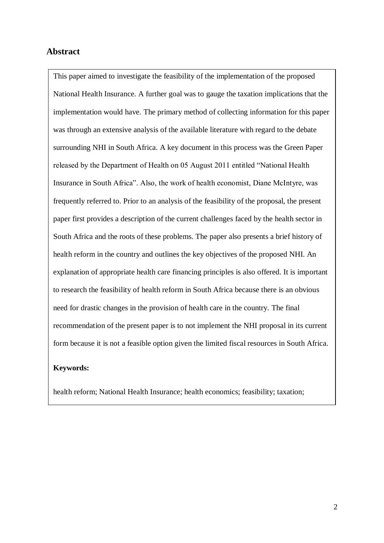# <span id="page-1-0"></span>**Abstract**

This paper aimed to investigate the feasibility of the implementation of the proposed National Health Insurance. A further goal was to gauge the taxation implications that the implementation would have. The primary method of collecting information for this paper was through an extensive analysis of the available literature with regard to the debate surrounding NHI in South Africa. A key document in this process was the Green Paper released by the Department of Health on 05 August 2011 entitled "National Health Insurance in South Africa". Also, the work of health economist, Diane McIntyre, was frequently referred to. Prior to an analysis of the feasibility of the proposal, the present paper first provides a description of the current challenges faced by the health sector in South Africa and the roots of these problems. The paper also presents a brief history of health reform in the country and outlines the key objectives of the proposed NHI. An explanation of appropriate health care financing principles is also offered. It is important to research the feasibility of health reform in South Africa because there is an obvious need for drastic changes in the provision of health care in the country. The final recommendation of the present paper is to not implement the NHI proposal in its current form because it is not a feasible option given the limited fiscal resources in South Africa.

# **Keywords:**

health reform; National Health Insurance; health economics; feasibility; taxation;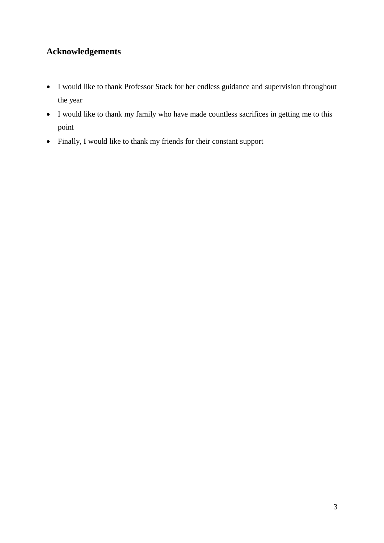# <span id="page-2-0"></span>**Acknowledgements**

- I would like to thank Professor Stack for her endless guidance and supervision throughout the year
- I would like to thank my family who have made countless sacrifices in getting me to this point
- Finally, I would like to thank my friends for their constant support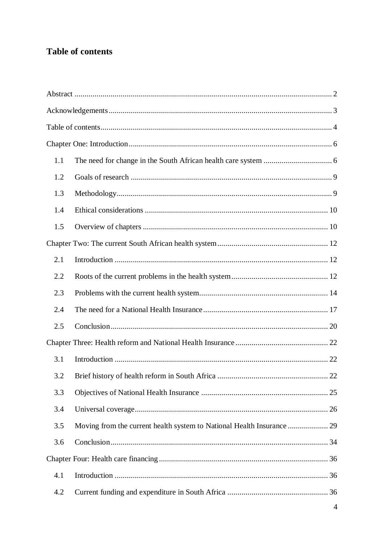# <span id="page-3-0"></span>Table of contents

| 1.1 |  |    |  |
|-----|--|----|--|
| 1.2 |  |    |  |
| 1.3 |  |    |  |
| 1.4 |  |    |  |
| 1.5 |  |    |  |
|     |  |    |  |
| 2.1 |  |    |  |
| 2.2 |  |    |  |
| 2.3 |  |    |  |
| 2.4 |  |    |  |
| 2.5 |  |    |  |
|     |  |    |  |
| 3.1 |  |    |  |
| 3.2 |  | 22 |  |
| 3.3 |  |    |  |
| 3.4 |  |    |  |
| 3.5 |  |    |  |
| 3.6 |  |    |  |
|     |  |    |  |
| 4.1 |  |    |  |
| 4.2 |  |    |  |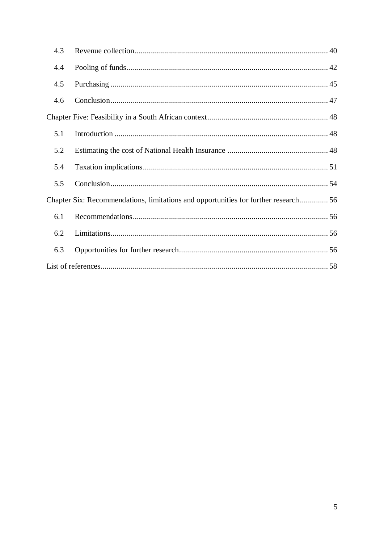| 4.3                                                                                |  |  |
|------------------------------------------------------------------------------------|--|--|
| 4.4                                                                                |  |  |
| 4.5                                                                                |  |  |
| 4.6                                                                                |  |  |
|                                                                                    |  |  |
| 5.1                                                                                |  |  |
| 5.2                                                                                |  |  |
| 5.4                                                                                |  |  |
| 5.5                                                                                |  |  |
| Chapter Six: Recommendations, limitations and opportunities for further research56 |  |  |
| 6.1                                                                                |  |  |
| 6.2                                                                                |  |  |
| 6.3                                                                                |  |  |
|                                                                                    |  |  |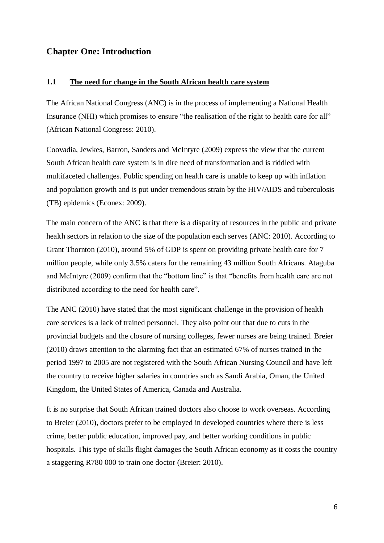# <span id="page-5-1"></span><span id="page-5-0"></span>**Chapter One: Introduction**

#### **1.1 The need for change in the South African health care system**

The African National Congress (ANC) is in the process of implementing a National Health Insurance (NHI) which promises to ensure "the realisation of the right to health care for all" (African National Congress: 2010).

Coovadia, Jewkes, Barron, Sanders and McIntyre (2009) express the view that the current South African health care system is in dire need of transformation and is riddled with multifaceted challenges. Public spending on health care is unable to keep up with inflation and population growth and is put under tremendous strain by the HIV/AIDS and tuberculosis (TB) epidemics (Econex: 2009).

The main concern of the ANC is that there is a disparity of resources in the public and private health sectors in relation to the size of the population each serves (ANC: 2010). According to Grant Thornton (2010), around 5% of GDP is spent on providing private health care for 7 million people, while only 3.5% caters for the remaining 43 million South Africans. Ataguba and McIntyre (2009) confirm that the "bottom line" is that "benefits from health care are not distributed according to the need for health care".

The ANC (2010) have stated that the most significant challenge in the provision of health care services is a lack of trained personnel. They also point out that due to cuts in the provincial budgets and the closure of nursing colleges, fewer nurses are being trained. Breier (2010) draws attention to the alarming fact that an estimated 67% of nurses trained in the period 1997 to 2005 are not registered with the South African Nursing Council and have left the country to receive higher salaries in countries such as Saudi Arabia, Oman, the United Kingdom, the United States of America, Canada and Australia.

It is no surprise that South African trained doctors also choose to work overseas. According to Breier (2010), doctors prefer to be employed in developed countries where there is less crime, better public education, improved pay, and better working conditions in public hospitals. This type of skills flight damages the South African economy as it costs the country a staggering R780 000 to train one doctor (Breier: 2010).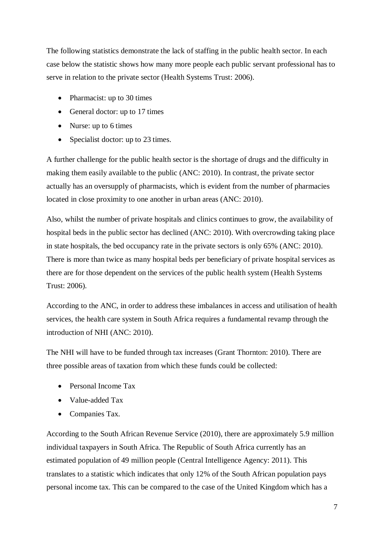The following statistics demonstrate the lack of staffing in the public health sector. In each case below the statistic shows how many more people each public servant professional has to serve in relation to the private sector (Health Systems Trust: 2006).

- Pharmacist: up to 30 times
- General doctor: up to 17 times
- Nurse: up to 6 times
- Specialist doctor: up to 23 times.

A further challenge for the public health sector is the shortage of drugs and the difficulty in making them easily available to the public (ANC: 2010). In contrast, the private sector actually has an oversupply of pharmacists, which is evident from the number of pharmacies located in close proximity to one another in urban areas (ANC: 2010).

Also, whilst the number of private hospitals and clinics continues to grow, the availability of hospital beds in the public sector has declined (ANC: 2010). With overcrowding taking place in state hospitals, the bed occupancy rate in the private sectors is only 65% (ANC: 2010). There is more than twice as many hospital beds per beneficiary of private hospital services as there are for those dependent on the services of the public health system (Health Systems Trust: 2006).

According to the ANC, in order to address these imbalances in access and utilisation of health services, the health care system in South Africa requires a fundamental revamp through the introduction of NHI (ANC: 2010).

The NHI will have to be funded through tax increases (Grant Thornton: 2010). There are three possible areas of taxation from which these funds could be collected:

- Personal Income Tax
- Value-added Tax
- Companies Tax.

According to the South African Revenue Service (2010), there are approximately 5.9 million individual taxpayers in South Africa. The Republic of South Africa currently has an estimated population of 49 million people (Central Intelligence Agency: 2011). This translates to a statistic which indicates that only 12% of the South African population pays personal income tax. This can be compared to the case of the United Kingdom which has a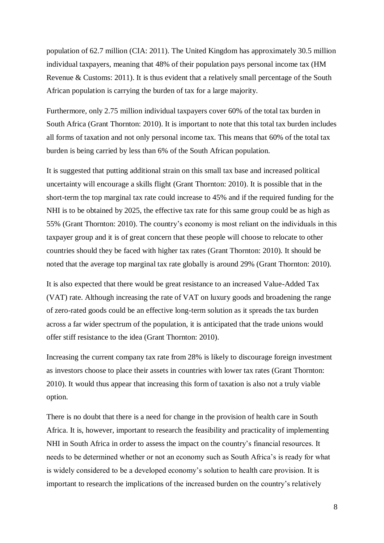population of 62.7 million (CIA: 2011). The United Kingdom has approximately 30.5 million individual taxpayers, meaning that 48% of their population pays personal income tax (HM Revenue & Customs: 2011). It is thus evident that a relatively small percentage of the South African population is carrying the burden of tax for a large majority.

Furthermore, only 2.75 million individual taxpayers cover 60% of the total tax burden in South Africa (Grant Thornton: 2010). It is important to note that this total tax burden includes all forms of taxation and not only personal income tax. This means that 60% of the total tax burden is being carried by less than 6% of the South African population.

It is suggested that putting additional strain on this small tax base and increased political uncertainty will encourage a skills flight (Grant Thornton: 2010). It is possible that in the short-term the top marginal tax rate could increase to 45% and if the required funding for the NHI is to be obtained by 2025, the effective tax rate for this same group could be as high as 55% (Grant Thornton: 2010). The country's economy is most reliant on the individuals in this taxpayer group and it is of great concern that these people will choose to relocate to other countries should they be faced with higher tax rates (Grant Thornton: 2010). It should be noted that the average top marginal tax rate globally is around 29% (Grant Thornton: 2010).

It is also expected that there would be great resistance to an increased Value-Added Tax (VAT) rate. Although increasing the rate of VAT on luxury goods and broadening the range of zero-rated goods could be an effective long-term solution as it spreads the tax burden across a far wider spectrum of the population, it is anticipated that the trade unions would offer stiff resistance to the idea (Grant Thornton: 2010).

Increasing the current company tax rate from 28% is likely to discourage foreign investment as investors choose to place their assets in countries with lower tax rates (Grant Thornton: 2010). It would thus appear that increasing this form of taxation is also not a truly viable option.

There is no doubt that there is a need for change in the provision of health care in South Africa. It is, however, important to research the feasibility and practicality of implementing NHI in South Africa in order to assess the impact on the country's financial resources. It needs to be determined whether or not an economy such as South Africa's is ready for what is widely considered to be a developed economy's solution to health care provision. It is important to research the implications of the increased burden on the country's relatively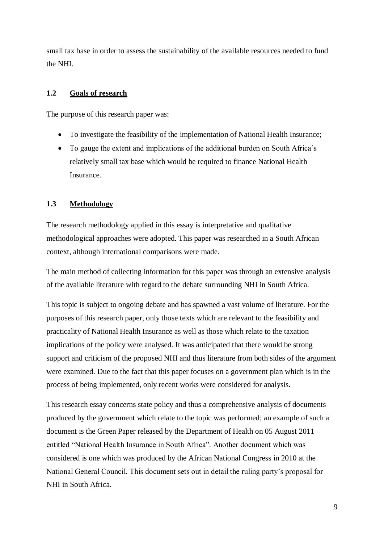small tax base in order to assess the sustainability of the available resources needed to fund the NHI.

## <span id="page-8-0"></span>**1.2 Goals of research**

The purpose of this research paper was:

- To investigate the feasibility of the implementation of National Health Insurance;
- To gauge the extent and implications of the additional burden on South Africa's relatively small tax base which would be required to finance National Health Insurance.

### <span id="page-8-1"></span>**1.3 Methodology**

The research methodology applied in this essay is interpretative and qualitative methodological approaches were adopted. This paper was researched in a South African context, although international comparisons were made.

The main method of collecting information for this paper was through an extensive analysis of the available literature with regard to the debate surrounding NHI in South Africa.

This topic is subject to ongoing debate and has spawned a vast volume of literature. For the purposes of this research paper, only those texts which are relevant to the feasibility and practicality of National Health Insurance as well as those which relate to the taxation implications of the policy were analysed. It was anticipated that there would be strong support and criticism of the proposed NHI and thus literature from both sides of the argument were examined. Due to the fact that this paper focuses on a government plan which is in the process of being implemented, only recent works were considered for analysis.

This research essay concerns state policy and thus a comprehensive analysis of documents produced by the government which relate to the topic was performed; an example of such a document is the Green Paper released by the Department of Health on 05 August 2011 entitled "National Health Insurance in South Africa". Another document which was considered is one which was produced by the African National Congress in 2010 at the National General Council. This document sets out in detail the ruling party's proposal for NHI in South Africa.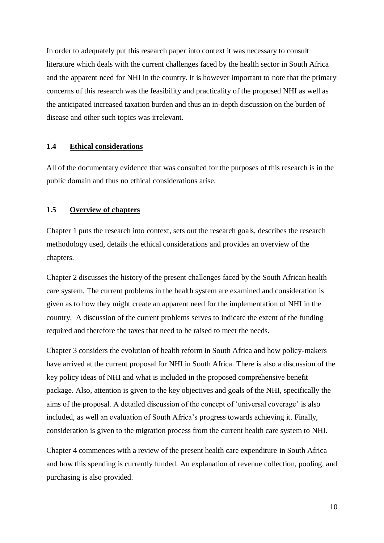In order to adequately put this research paper into context it was necessary to consult literature which deals with the current challenges faced by the health sector in South Africa and the apparent need for NHI in the country. It is however important to note that the primary concerns of this research was the feasibility and practicality of the proposed NHI as well as the anticipated increased taxation burden and thus an in-depth discussion on the burden of disease and other such topics was irrelevant.

#### <span id="page-9-0"></span>**1.4 Ethical considerations**

All of the documentary evidence that was consulted for the purposes of this research is in the public domain and thus no ethical considerations arise.

### <span id="page-9-1"></span>**1.5 Overview of chapters**

Chapter 1 puts the research into context, sets out the research goals, describes the research methodology used, details the ethical considerations and provides an overview of the chapters.

Chapter 2 discusses the history of the present challenges faced by the South African health care system. The current problems in the health system are examined and consideration is given as to how they might create an apparent need for the implementation of NHI in the country. A discussion of the current problems serves to indicate the extent of the funding required and therefore the taxes that need to be raised to meet the needs.

Chapter 3 considers the evolution of health reform in South Africa and how policy-makers have arrived at the current proposal for NHI in South Africa. There is also a discussion of the key policy ideas of NHI and what is included in the proposed comprehensive benefit package. Also, attention is given to the key objectives and goals of the NHI, specifically the aims of the proposal. A detailed discussion of the concept of 'universal coverage' is also included, as well an evaluation of South Africa's progress towards achieving it. Finally, consideration is given to the migration process from the current health care system to NHI.

Chapter 4 commences with a review of the present health care expenditure in South Africa and how this spending is currently funded. An explanation of revenue collection, pooling, and purchasing is also provided.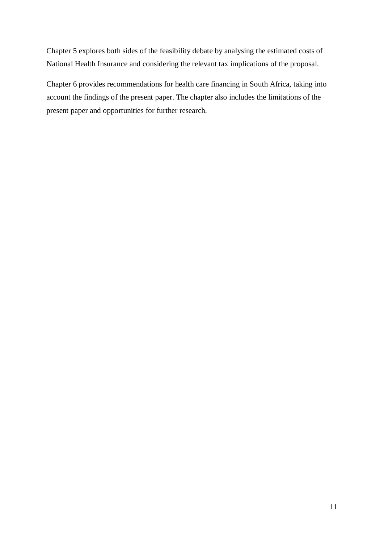Chapter 5 explores both sides of the feasibility debate by analysing the estimated costs of National Health Insurance and considering the relevant tax implications of the proposal.

Chapter 6 provides recommendations for health care financing in South Africa, taking into account the findings of the present paper. The chapter also includes the limitations of the present paper and opportunities for further research.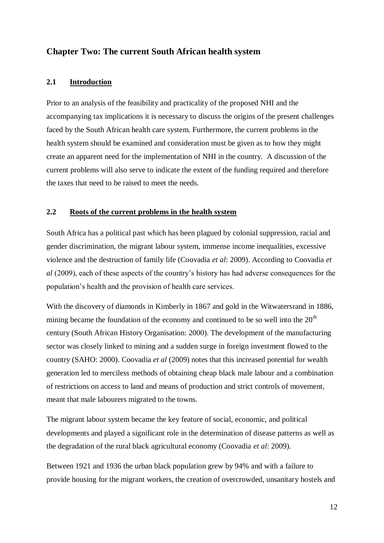# <span id="page-11-1"></span><span id="page-11-0"></span>**Chapter Two: The current South African health system**

## **2.1 Introduction**

Prior to an analysis of the feasibility and practicality of the proposed NHI and the accompanying tax implications it is necessary to discuss the origins of the present challenges faced by the South African health care system. Furthermore, the current problems in the health system should be examined and consideration must be given as to how they might create an apparent need for the implementation of NHI in the country. A discussion of the current problems will also serve to indicate the extent of the funding required and therefore the taxes that need to be raised to meet the needs.

### <span id="page-11-2"></span>**2.2 Roots of the current problems in the health system**

South Africa has a political past which has been plagued by colonial suppression, racial and gender discrimination, the migrant labour system, immense income inequalities, excessive violence and the destruction of family life (Coovadia *et al*: 2009). According to Coovadia *et al* (2009), each of these aspects of the country's history has had adverse consequences for the population's health and the provision of health care services.

With the discovery of diamonds in Kimberly in 1867 and gold in the Witwatersrand in 1886, mining became the foundation of the economy and continued to be so well into the  $20<sup>th</sup>$ century (South African History Organisation: 2000). The development of the manufacturing sector was closely linked to mining and a sudden surge in foreign investment flowed to the country (SAHO: 2000). Coovadia *et al* (2009) notes that this increased potential for wealth generation led to merciless methods of obtaining cheap black male labour and a combination of restrictions on access to land and means of production and strict controls of movement, meant that male labourers migrated to the towns.

The migrant labour system became the key feature of social, economic, and political developments and played a significant role in the determination of disease patterns as well as the degradation of the rural black agricultural economy (Coovadia *et al*: 2009).

Between 1921 and 1936 the urban black population grew by 94% and with a failure to provide housing for the migrant workers, the creation of overcrowded, unsanitary hostels and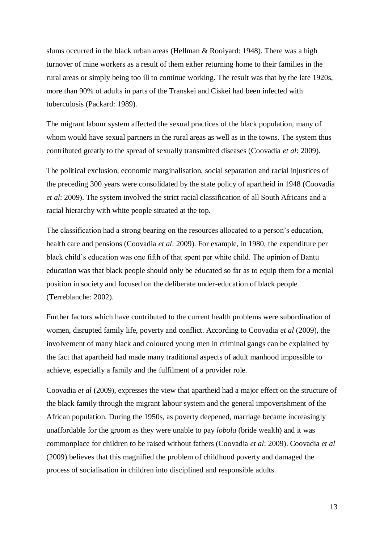slums occurred in the black urban areas (Hellman & Rooiyard: 1948). There was a high turnover of mine workers as a result of them either returning home to their families in the rural areas or simply being too ill to continue working. The result was that by the late 1920s, more than 90% of adults in parts of the Transkei and Ciskei had been infected with tuberculosis (Packard: 1989).

The migrant labour system affected the sexual practices of the black population, many of whom would have sexual partners in the rural areas as well as in the towns. The system thus contributed greatly to the spread of sexually transmitted diseases (Coovadia *et al*: 2009).

The political exclusion, economic marginalisation, social separation and racial injustices of the preceding 300 years were consolidated by the state policy of apartheid in 1948 (Coovadia *et al*: 2009). The system involved the strict racial classification of all South Africans and a racial hierarchy with white people situated at the top.

The classification had a strong bearing on the resources allocated to a person's education, health care and pensions (Coovadia *et al*: 2009). For example, in 1980, the expenditure per black child's education was one fifth of that spent per white child. The opinion of Bantu education was that black people should only be educated so far as to equip them for a menial position in society and focused on the deliberate under-education of black people (Terreblanche: 2002).

Further factors which have contributed to the current health problems were subordination of women, disrupted family life, poverty and conflict. According to Coovadia *et al* (2009), the involvement of many black and coloured young men in criminal gangs can be explained by the fact that apartheid had made many traditional aspects of adult manhood impossible to achieve, especially a family and the fulfilment of a provider role.

Coovadia *et al* (2009), expresses the view that apartheid had a major effect on the structure of the black family through the migrant labour system and the general impoverishment of the African population. During the 1950s, as poverty deepened, marriage became increasingly unaffordable for the groom as they were unable to pay *lobola* (bride wealth) and it was commonplace for children to be raised without fathers (Coovadia *et al*: 2009). Coovadia *et al*  (2009) believes that this magnified the problem of childhood poverty and damaged the process of socialisation in children into disciplined and responsible adults.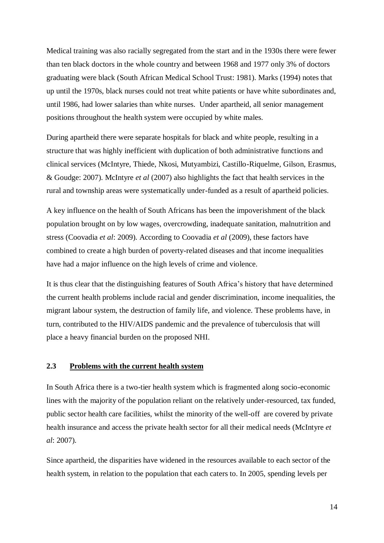Medical training was also racially segregated from the start and in the 1930s there were fewer than ten black doctors in the whole country and between 1968 and 1977 only 3% of doctors graduating were black (South African Medical School Trust: 1981). Marks (1994) notes that up until the 1970s, black nurses could not treat white patients or have white subordinates and, until 1986, had lower salaries than white nurses. Under apartheid, all senior management positions throughout the health system were occupied by white males.

During apartheid there were separate hospitals for black and white people, resulting in a structure that was highly inefficient with duplication of both administrative functions and clinical services (McIntyre, Thiede, Nkosi, Mutyambizi, Castillo-Riquelme, Gilson, Erasmus, & Goudge: 2007). McIntyre *et al* (2007) also highlights the fact that health services in the rural and township areas were systematically under-funded as a result of apartheid policies.

A key influence on the health of South Africans has been the impoverishment of the black population brought on by low wages, overcrowding, inadequate sanitation, malnutrition and stress (Coovadia *et al*: 2009). According to Coovadia *et al* (2009), these factors have combined to create a high burden of poverty-related diseases and that income inequalities have had a major influence on the high levels of crime and violence.

It is thus clear that the distinguishing features of South Africa's history that have determined the current health problems include racial and gender discrimination, income inequalities, the migrant labour system, the destruction of family life, and violence. These problems have, in turn, contributed to the HIV/AIDS pandemic and the prevalence of tuberculosis that will place a heavy financial burden on the proposed NHI.

### <span id="page-13-0"></span>**2.3 Problems with the current health system**

In South Africa there is a two-tier health system which is fragmented along socio-economic lines with the majority of the population reliant on the relatively under-resourced, tax funded, public sector health care facilities, whilst the minority of the well-off are covered by private health insurance and access the private health sector for all their medical needs (McIntyre *et al*: 2007).

Since apartheid, the disparities have widened in the resources available to each sector of the health system, in relation to the population that each caters to. In 2005, spending levels per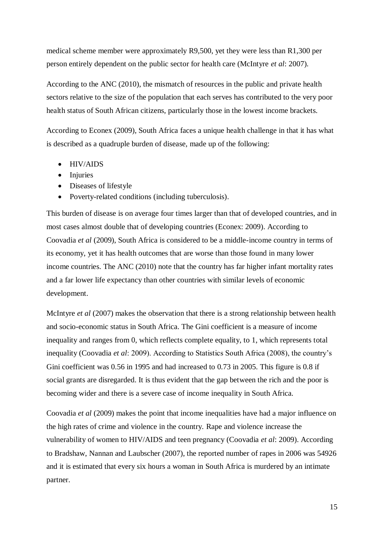medical scheme member were approximately R9,500, yet they were less than R1,300 per person entirely dependent on the public sector for health care (McIntyre *et al*: 2007).

According to the ANC (2010), the mismatch of resources in the public and private health sectors relative to the size of the population that each serves has contributed to the very poor health status of South African citizens, particularly those in the lowest income brackets.

According to Econex (2009), South Africa faces a unique health challenge in that it has what is described as a quadruple burden of disease, made up of the following:

- HIV/AIDS
- Injuries
- Diseases of lifestyle
- Poverty-related conditions (including tuberculosis).

This burden of disease is on average four times larger than that of developed countries, and in most cases almost double that of developing countries (Econex: 2009). According to Coovadia *et al* (2009), South Africa is considered to be a middle-income country in terms of its economy, yet it has health outcomes that are worse than those found in many lower income countries. The ANC (2010) note that the country has far higher infant mortality rates and a far lower life expectancy than other countries with similar levels of economic development.

McIntyre *et al* (2007) makes the observation that there is a strong relationship between health and socio-economic status in South Africa. The Gini coefficient is a measure of income inequality and ranges from 0, which reflects complete equality, to 1, which represents total inequality (Coovadia *et al*: 2009). According to Statistics South Africa (2008), the country's Gini coefficient was 0.56 in 1995 and had increased to 0.73 in 2005. This figure is 0.8 if social grants are disregarded. It is thus evident that the gap between the rich and the poor is becoming wider and there is a severe case of income inequality in South Africa.

Coovadia *et al* (2009) makes the point that income inequalities have had a major influence on the high rates of crime and violence in the country. Rape and violence increase the vulnerability of women to HIV/AIDS and teen pregnancy (Coovadia *et al*: 2009). According to Bradshaw, Nannan and Laubscher (2007), the reported number of rapes in 2006 was 54926 and it is estimated that every six hours a woman in South Africa is murdered by an intimate partner.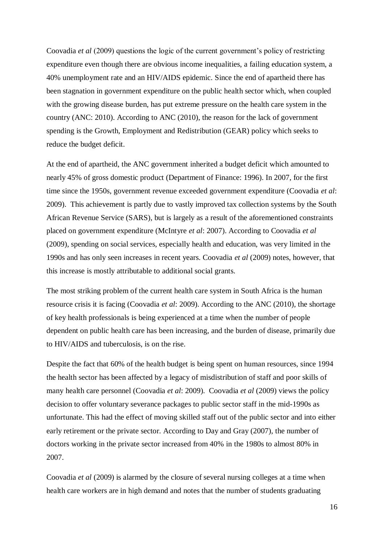Coovadia *et al* (2009) questions the logic of the current government's policy of restricting expenditure even though there are obvious income inequalities, a failing education system, a 40% unemployment rate and an HIV/AIDS epidemic. Since the end of apartheid there has been stagnation in government expenditure on the public health sector which, when coupled with the growing disease burden, has put extreme pressure on the health care system in the country (ANC: 2010). According to ANC (2010), the reason for the lack of government spending is the Growth, Employment and Redistribution (GEAR) policy which seeks to reduce the budget deficit.

At the end of apartheid, the ANC government inherited a budget deficit which amounted to nearly 45% of gross domestic product (Department of Finance: 1996). In 2007, for the first time since the 1950s, government revenue exceeded government expenditure (Coovadia *et al*: 2009). This achievement is partly due to vastly improved tax collection systems by the South African Revenue Service (SARS), but is largely as a result of the aforementioned constraints placed on government expenditure (McIntyre *et al*: 2007). According to Coovadia *et al* (2009), spending on social services, especially health and education, was very limited in the 1990s and has only seen increases in recent years. Coovadia *et al* (2009) notes, however, that this increase is mostly attributable to additional social grants.

The most striking problem of the current health care system in South Africa is the human resource crisis it is facing (Coovadia *et al*: 2009). According to the ANC (2010), the shortage of key health professionals is being experienced at a time when the number of people dependent on public health care has been increasing, and the burden of disease, primarily due to HIV/AIDS and tuberculosis, is on the rise.

Despite the fact that 60% of the health budget is being spent on human resources, since 1994 the health sector has been affected by a legacy of misdistribution of staff and poor skills of many health care personnel (Coovadia *et al*: 2009). Coovadia *et al* (2009) views the policy decision to offer voluntary severance packages to public sector staff in the mid-1990s as unfortunate. This had the effect of moving skilled staff out of the public sector and into either early retirement or the private sector. According to Day and Gray (2007), the number of doctors working in the private sector increased from 40% in the 1980s to almost 80% in 2007.

Coovadia *et al* (2009) is alarmed by the closure of several nursing colleges at a time when health care workers are in high demand and notes that the number of students graduating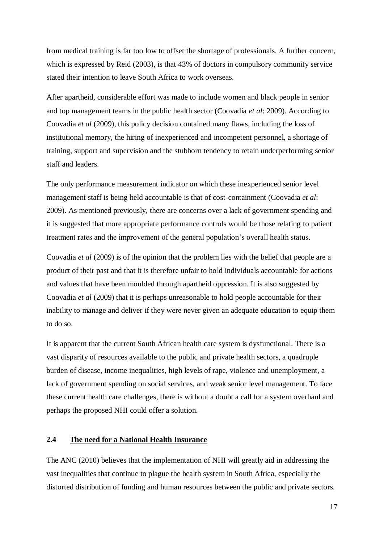from medical training is far too low to offset the shortage of professionals. A further concern, which is expressed by Reid (2003), is that 43% of doctors in compulsory community service stated their intention to leave South Africa to work overseas.

After apartheid, considerable effort was made to include women and black people in senior and top management teams in the public health sector (Coovadia *et al*: 2009). According to Coovadia *et al* (2009), this policy decision contained many flaws, including the loss of institutional memory, the hiring of inexperienced and incompetent personnel, a shortage of training, support and supervision and the stubborn tendency to retain underperforming senior staff and leaders.

The only performance measurement indicator on which these inexperienced senior level management staff is being held accountable is that of cost-containment (Coovadia *et al*: 2009). As mentioned previously, there are concerns over a lack of government spending and it is suggested that more appropriate performance controls would be those relating to patient treatment rates and the improvement of the general population's overall health status.

Coovadia *et al* (2009) is of the opinion that the problem lies with the belief that people are a product of their past and that it is therefore unfair to hold individuals accountable for actions and values that have been moulded through apartheid oppression. It is also suggested by Coovadia *et al* (2009) that it is perhaps unreasonable to hold people accountable for their inability to manage and deliver if they were never given an adequate education to equip them to do so.

It is apparent that the current South African health care system is dysfunctional. There is a vast disparity of resources available to the public and private health sectors, a quadruple burden of disease, income inequalities, high levels of rape, violence and unemployment, a lack of government spending on social services, and weak senior level management. To face these current health care challenges, there is without a doubt a call for a system overhaul and perhaps the proposed NHI could offer a solution.

#### <span id="page-16-0"></span>**2.4 The need for a National Health Insurance**

The ANC (2010) believes that the implementation of NHI will greatly aid in addressing the vast inequalities that continue to plague the health system in South Africa, especially the distorted distribution of funding and human resources between the public and private sectors.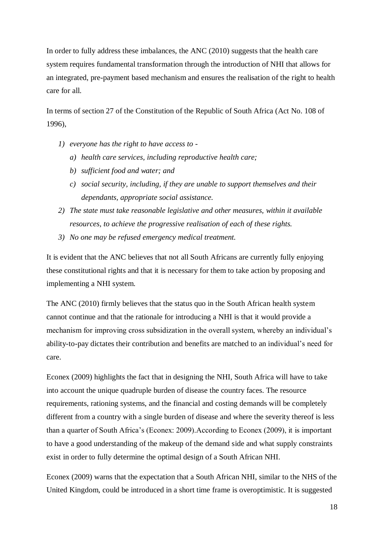In order to fully address these imbalances, the ANC (2010) suggests that the health care system requires fundamental transformation through the introduction of NHI that allows for an integrated, pre-payment based mechanism and ensures the realisation of the right to health care for all.

In terms of section 27 of the Constitution of the Republic of South Africa (Act No. 108 of 1996),

- *1) everyone has the right to have access to* 
	- *a) health care services, including reproductive health care;*
	- *b) sufficient food and water; and*
	- *c) social security, including, if they are unable to support themselves and their dependants, appropriate social assistance.*
- *2) The state must take reasonable legislative and other measures, within it available resources, to achieve the progressive realisation of each of these rights.*
- *3) No one may be refused emergency medical treatment.*

It is evident that the ANC believes that not all South Africans are currently fully enjoying these constitutional rights and that it is necessary for them to take action by proposing and implementing a NHI system.

The ANC (2010) firmly believes that the status quo in the South African health system cannot continue and that the rationale for introducing a NHI is that it would provide a mechanism for improving cross subsidization in the overall system, whereby an individual's ability-to-pay dictates their contribution and benefits are matched to an individual's need for care.

Econex (2009) highlights the fact that in designing the NHI, South Africa will have to take into account the unique quadruple burden of disease the country faces. The resource requirements, rationing systems, and the financial and costing demands will be completely different from a country with a single burden of disease and where the severity thereof is less than a quarter of South Africa's (Econex: 2009).According to Econex (2009), it is important to have a good understanding of the makeup of the demand side and what supply constraints exist in order to fully determine the optimal design of a South African NHI.

Econex (2009) warns that the expectation that a South African NHI, similar to the NHS of the United Kingdom, could be introduced in a short time frame is overoptimistic. It is suggested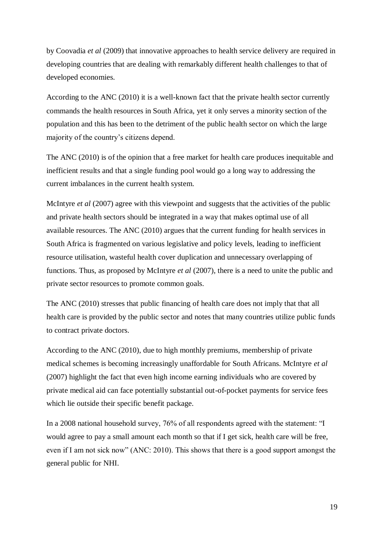by Coovadia *et al* (2009) that innovative approaches to health service delivery are required in developing countries that are dealing with remarkably different health challenges to that of developed economies.

According to the ANC (2010) it is a well-known fact that the private health sector currently commands the health resources in South Africa, yet it only serves a minority section of the population and this has been to the detriment of the public health sector on which the large majority of the country's citizens depend.

The ANC (2010) is of the opinion that a free market for health care produces inequitable and inefficient results and that a single funding pool would go a long way to addressing the current imbalances in the current health system.

McIntyre *et al* (2007) agree with this viewpoint and suggests that the activities of the public and private health sectors should be integrated in a way that makes optimal use of all available resources. The ANC (2010) argues that the current funding for health services in South Africa is fragmented on various legislative and policy levels, leading to inefficient resource utilisation, wasteful health cover duplication and unnecessary overlapping of functions. Thus, as proposed by McIntyre *et al* (2007), there is a need to unite the public and private sector resources to promote common goals.

The ANC (2010) stresses that public financing of health care does not imply that that all health care is provided by the public sector and notes that many countries utilize public funds to contract private doctors.

According to the ANC (2010), due to high monthly premiums, membership of private medical schemes is becoming increasingly unaffordable for South Africans. McIntyre *et al* (2007) highlight the fact that even high income earning individuals who are covered by private medical aid can face potentially substantial out-of-pocket payments for service fees which lie outside their specific benefit package.

In a 2008 national household survey, 76% of all respondents agreed with the statement: "I would agree to pay a small amount each month so that if I get sick, health care will be free, even if I am not sick now" (ANC: 2010). This shows that there is a good support amongst the general public for NHI.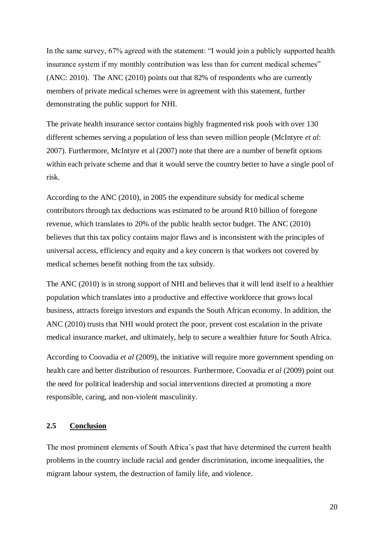In the same survey, 67% agreed with the statement: "I would join a publicly supported health insurance system if my monthly contribution was less than for current medical schemes" (ANC: 2010). The ANC (2010) points out that 82% of respondents who are currently members of private medical schemes were in agreement with this statement, further demonstrating the public support for NHI.

The private health insurance sector contains highly fragmented risk pools with over 130 different schemes serving a population of less than seven million people (McIntyre *et al*: 2007). Furthermore, McIntyre et al (2007) note that there are a number of benefit options within each private scheme and that it would serve the country better to have a single pool of risk.

According to the ANC (2010), in 2005 the expenditure subsidy for medical scheme contributors through tax deductions was estimated to be around R10 billion of foregone revenue, which translates to 20% of the public health sector budget. The ANC (2010) believes that this tax policy contains major flaws and is inconsistent with the principles of universal access, efficiency and equity and a key concern is that workers not covered by medical schemes benefit nothing from the tax subsidy.

The ANC (2010) is in strong support of NHI and believes that it will lend itself to a healthier population which translates into a productive and effective workforce that grows local business, attracts foreign investors and expands the South African economy. In addition, the ANC (2010) trusts that NHI would protect the poor, prevent cost escalation in the private medical insurance market, and ultimately, help to secure a wealthier future for South Africa.

According to Coovadia *et al* (2009), the initiative will require more government spending on health care and better distribution of resources. Furthermore, Coovadia *et al* (2009) point out the need for political leadership and social interventions directed at promoting a more responsible, caring, and non-violent masculinity.

#### <span id="page-19-0"></span>**2.5 Conclusion**

The most prominent elements of South Africa's past that have determined the current health problems in the country include racial and gender discrimination, income inequalities, the migrant labour system, the destruction of family life, and violence.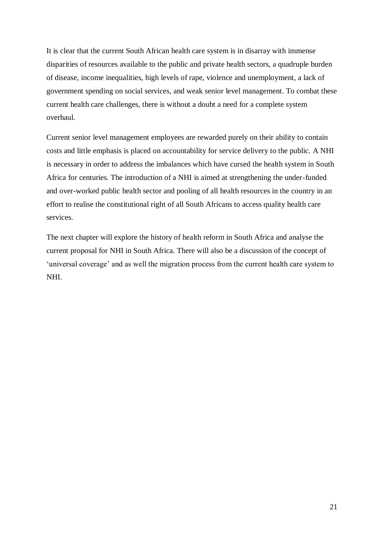It is clear that the current South African health care system is in disarray with immense disparities of resources available to the public and private health sectors, a quadruple burden of disease, income inequalities, high levels of rape, violence and unemployment, a lack of government spending on social services, and weak senior level management. To combat these current health care challenges, there is without a doubt a need for a complete system overhaul.

Current senior level management employees are rewarded purely on their ability to contain costs and little emphasis is placed on accountability for service delivery to the public. A NHI is necessary in order to address the imbalances which have cursed the health system in South Africa for centuries. The introduction of a NHI is aimed at strengthening the under-funded and over-worked public health sector and pooling of all health resources in the country in an effort to realise the constitutional right of all South Africans to access quality health care services.

The next chapter will explore the history of health reform in South Africa and analyse the current proposal for NHI in South Africa. There will also be a discussion of the concept of 'universal coverage' and as well the migration process from the current health care system to NHI.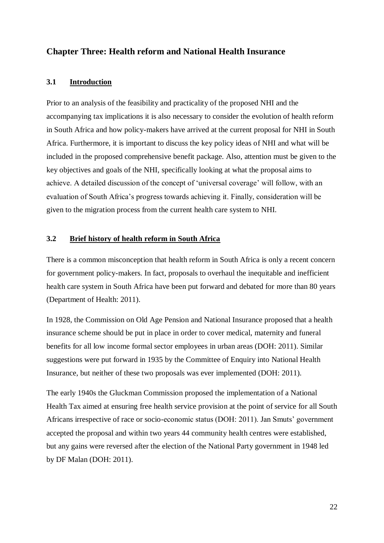# <span id="page-21-1"></span><span id="page-21-0"></span>**Chapter Three: Health reform and National Health Insurance**

#### **3.1 Introduction**

Prior to an analysis of the feasibility and practicality of the proposed NHI and the accompanying tax implications it is also necessary to consider the evolution of health reform in South Africa and how policy-makers have arrived at the current proposal for NHI in South Africa. Furthermore, it is important to discuss the key policy ideas of NHI and what will be included in the proposed comprehensive benefit package. Also, attention must be given to the key objectives and goals of the NHI, specifically looking at what the proposal aims to achieve. A detailed discussion of the concept of 'universal coverage' will follow, with an evaluation of South Africa's progress towards achieving it. Finally, consideration will be given to the migration process from the current health care system to NHI.

#### <span id="page-21-2"></span>**3.2 Brief history of health reform in South Africa**

There is a common misconception that health reform in South Africa is only a recent concern for government policy-makers. In fact, proposals to overhaul the inequitable and inefficient health care system in South Africa have been put forward and debated for more than 80 years (Department of Health: 2011).

In 1928, the Commission on Old Age Pension and National Insurance proposed that a health insurance scheme should be put in place in order to cover medical, maternity and funeral benefits for all low income formal sector employees in urban areas (DOH: 2011). Similar suggestions were put forward in 1935 by the Committee of Enquiry into National Health Insurance, but neither of these two proposals was ever implemented (DOH: 2011).

The early 1940s the Gluckman Commission proposed the implementation of a National Health Tax aimed at ensuring free health service provision at the point of service for all South Africans irrespective of race or socio-economic status (DOH: 2011). Jan Smuts' government accepted the proposal and within two years 44 community health centres were established, but any gains were reversed after the election of the National Party government in 1948 led by DF Malan (DOH: 2011).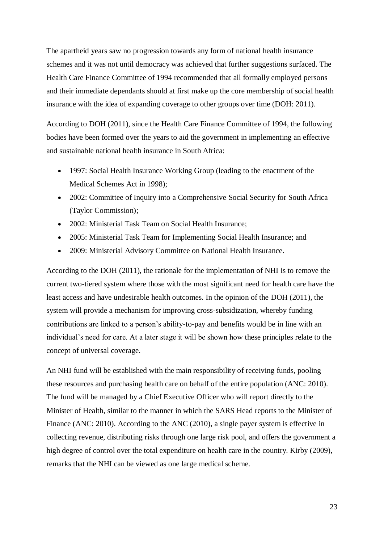The apartheid years saw no progression towards any form of national health insurance schemes and it was not until democracy was achieved that further suggestions surfaced. The Health Care Finance Committee of 1994 recommended that all formally employed persons and their immediate dependants should at first make up the core membership of social health insurance with the idea of expanding coverage to other groups over time (DOH: 2011).

According to DOH (2011), since the Health Care Finance Committee of 1994, the following bodies have been formed over the years to aid the government in implementing an effective and sustainable national health insurance in South Africa:

- 1997: Social Health Insurance Working Group (leading to the enactment of the Medical Schemes Act in 1998);
- 2002: Committee of Inquiry into a Comprehensive Social Security for South Africa (Taylor Commission);
- 2002: Ministerial Task Team on Social Health Insurance:
- 2005: Ministerial Task Team for Implementing Social Health Insurance; and
- 2009: Ministerial Advisory Committee on National Health Insurance.

According to the DOH (2011), the rationale for the implementation of NHI is to remove the current two-tiered system where those with the most significant need for health care have the least access and have undesirable health outcomes. In the opinion of the DOH (2011), the system will provide a mechanism for improving cross-subsidization, whereby funding contributions are linked to a person's ability-to-pay and benefits would be in line with an individual's need for care. At a later stage it will be shown how these principles relate to the concept of universal coverage.

An NHI fund will be established with the main responsibility of receiving funds, pooling these resources and purchasing health care on behalf of the entire population (ANC: 2010). The fund will be managed by a Chief Executive Officer who will report directly to the Minister of Health, similar to the manner in which the SARS Head reports to the Minister of Finance (ANC: 2010). According to the ANC (2010), a single payer system is effective in collecting revenue, distributing risks through one large risk pool, and offers the government a high degree of control over the total expenditure on health care in the country. Kirby (2009), remarks that the NHI can be viewed as one large medical scheme.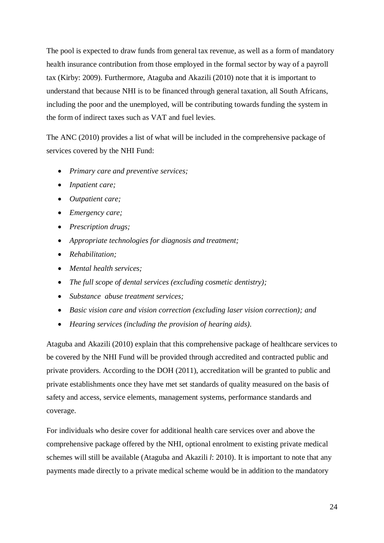The pool is expected to draw funds from general tax revenue, as well as a form of mandatory health insurance contribution from those employed in the formal sector by way of a payroll tax (Kirby: 2009). Furthermore, Ataguba and Akazili (2010) note that it is important to understand that because NHI is to be financed through general taxation, all South Africans, including the poor and the unemployed, will be contributing towards funding the system in the form of indirect taxes such as VAT and fuel levies.

The ANC (2010) provides a list of what will be included in the comprehensive package of services covered by the NHI Fund:

- *Primary care and preventive services;*
- *Inpatient care;*
- *Outpatient care;*
- *Emergency care;*
- *Prescription drugs;*
- *Appropriate technologies for diagnosis and treatment;*
- *Rehabilitation;*
- *Mental health services;*
- *The full scope of dental services (excluding cosmetic dentistry);*
- *Substance abuse treatment services;*
- *Basic vision care and vision correction (excluding laser vision correction); and*
- *Hearing services (including the provision of hearing aids).*

Ataguba and Akazili (2010) explain that this comprehensive package of healthcare services to be covered by the NHI Fund will be provided through accredited and contracted public and private providers. According to the DOH (2011), accreditation will be granted to public and private establishments once they have met set standards of quality measured on the basis of safety and access, service elements, management systems, performance standards and coverage.

For individuals who desire cover for additional health care services over and above the comprehensive package offered by the NHI, optional enrolment to existing private medical schemes will still be available (Ataguba and Akazili *l*: 2010). It is important to note that any payments made directly to a private medical scheme would be in addition to the mandatory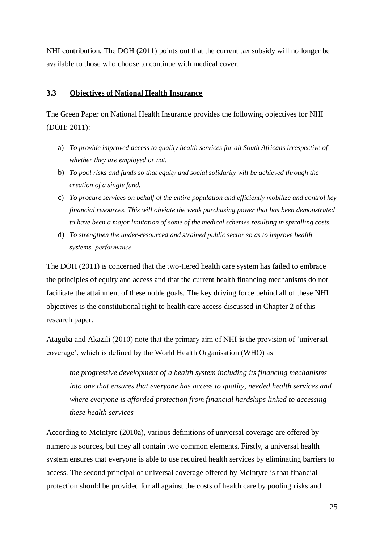NHI contribution. The DOH (2011) points out that the current tax subsidy will no longer be available to those who choose to continue with medical cover.

### <span id="page-24-0"></span>**3.3 Objectives of National Health Insurance**

The Green Paper on National Health Insurance provides the following objectives for NHI (DOH: 2011):

- a) *To provide improved access to quality health services for all South Africans irrespective of whether they are employed or not.*
- b) *To pool risks and funds so that equity and social solidarity will be achieved through the creation of a single fund.*
- c) *To procure services on behalf of the entire population and efficiently mobilize and control key financial resources. This will obviate the weak purchasing power that has been demonstrated to have been a major limitation of some of the medical schemes resulting in spiralling costs.*
- d) *To strengthen the under-resourced and strained public sector so as to improve health systems' performance.*

The DOH (2011) is concerned that the two-tiered health care system has failed to embrace the principles of equity and access and that the current health financing mechanisms do not facilitate the attainment of these noble goals. The key driving force behind all of these NHI objectives is the constitutional right to health care access discussed in Chapter 2 of this research paper.

Ataguba and Akazili (2010) note that the primary aim of NHI is the provision of 'universal coverage', which is defined by the World Health Organisation (WHO) as

*the progressive development of a health system including its financing mechanisms into one that ensures that everyone has access to quality, needed health services and where everyone is afforded protection from financial hardships linked to accessing these health services* 

According to McIntyre (2010a), various definitions of universal coverage are offered by numerous sources, but they all contain two common elements. Firstly, a universal health system ensures that everyone is able to use required health services by eliminating barriers to access. The second principal of universal coverage offered by McIntyre is that financial protection should be provided for all against the costs of health care by pooling risks and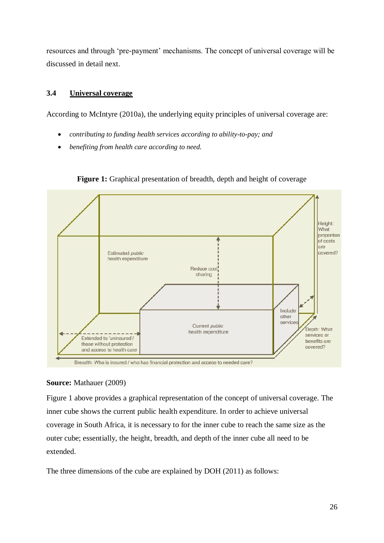resources and through 'pre-payment' mechanisms. The concept of universal coverage will be discussed in detail next.

## <span id="page-25-0"></span>**3.4 Universal coverage**

According to McIntyre (2010a), the underlying equity principles of universal coverage are:

- *contributing to funding health services according to ability-to-pay; and*
- *benefiting from health care according to need.*



Figure 1: Graphical presentation of breadth, depth and height of coverage

# **Source:** Mathauer (2009)

Figure 1 above provides a graphical representation of the concept of universal coverage. The inner cube shows the current public health expenditure. In order to achieve universal coverage in South Africa, it is necessary to for the inner cube to reach the same size as the outer cube; essentially, the height, breadth, and depth of the inner cube all need to be extended.

The three dimensions of the cube are explained by DOH (2011) as follows: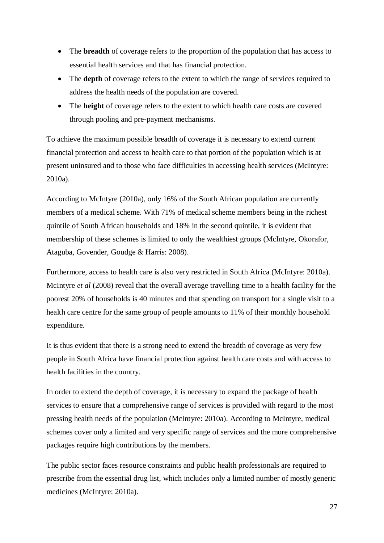- The **breadth** of coverage refers to the proportion of the population that has access to essential health services and that has financial protection.
- The **depth** of coverage refers to the extent to which the range of services required to address the health needs of the population are covered.
- The **height** of coverage refers to the extent to which health care costs are covered through pooling and pre-payment mechanisms.

To achieve the maximum possible breadth of coverage it is necessary to extend current financial protection and access to health care to that portion of the population which is at present uninsured and to those who face difficulties in accessing health services (McIntyre: 2010a).

According to McIntyre (2010a), only 16% of the South African population are currently members of a medical scheme. With 71% of medical scheme members being in the richest quintile of South African households and 18% in the second quintile, it is evident that membership of these schemes is limited to only the wealthiest groups (McIntyre, Okorafor, Ataguba, Govender, Goudge & Harris: 2008).

Furthermore, access to health care is also very restricted in South Africa (McIntyre: 2010a). McIntyre *et al* (2008) reveal that the overall average travelling time to a health facility for the poorest 20% of households is 40 minutes and that spending on transport for a single visit to a health care centre for the same group of people amounts to 11% of their monthly household expenditure.

It is thus evident that there is a strong need to extend the breadth of coverage as very few people in South Africa have financial protection against health care costs and with access to health facilities in the country.

In order to extend the depth of coverage, it is necessary to expand the package of health services to ensure that a comprehensive range of services is provided with regard to the most pressing health needs of the population (McIntyre: 2010a). According to McIntyre, medical schemes cover only a limited and very specific range of services and the more comprehensive packages require high contributions by the members.

The public sector faces resource constraints and public health professionals are required to prescribe from the essential drug list, which includes only a limited number of mostly generic medicines (McIntyre: 2010a).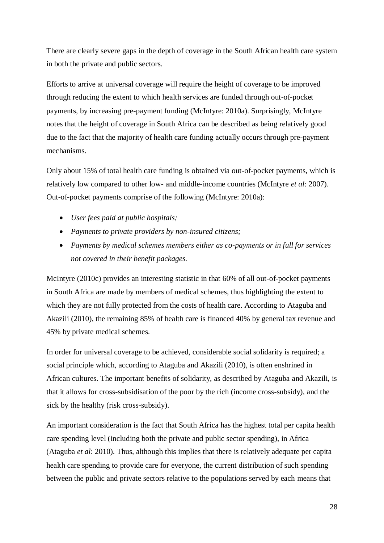There are clearly severe gaps in the depth of coverage in the South African health care system in both the private and public sectors.

Efforts to arrive at universal coverage will require the height of coverage to be improved through reducing the extent to which health services are funded through out-of-pocket payments, by increasing pre-payment funding (McIntyre: 2010a). Surprisingly, McIntyre notes that the height of coverage in South Africa can be described as being relatively good due to the fact that the majority of health care funding actually occurs through pre-payment mechanisms.

Only about 15% of total health care funding is obtained via out-of-pocket payments, which is relatively low compared to other low- and middle-income countries (McIntyre *et al*: 2007). Out-of-pocket payments comprise of the following (McIntyre: 2010a):

- *User fees paid at public hospitals;*
- *Payments to private providers by non-insured citizens;*
- *Payments by medical schemes members either as co-payments or in full for services not covered in their benefit packages.*

McIntyre (2010c) provides an interesting statistic in that 60% of all out-of-pocket payments in South Africa are made by members of medical schemes, thus highlighting the extent to which they are not fully protected from the costs of health care. According to Ataguba and Akazili (2010), the remaining 85% of health care is financed 40% by general tax revenue and 45% by private medical schemes.

In order for universal coverage to be achieved, considerable social solidarity is required; a social principle which, according to Ataguba and Akazili (2010), is often enshrined in African cultures. The important benefits of solidarity, as described by Ataguba and Akazili, is that it allows for cross-subsidisation of the poor by the rich (income cross-subsidy), and the sick by the healthy (risk cross-subsidy).

An important consideration is the fact that South Africa has the highest total per capita health care spending level (including both the private and public sector spending), in Africa (Ataguba *et al*: 2010). Thus, although this implies that there is relatively adequate per capita health care spending to provide care for everyone, the current distribution of such spending between the public and private sectors relative to the populations served by each means that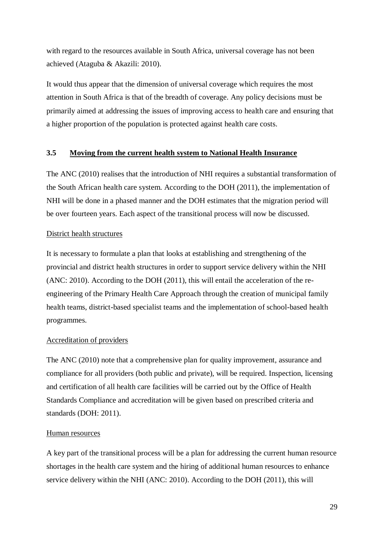with regard to the resources available in South Africa, universal coverage has not been achieved (Ataguba & Akazili: 2010).

It would thus appear that the dimension of universal coverage which requires the most attention in South Africa is that of the breadth of coverage. Any policy decisions must be primarily aimed at addressing the issues of improving access to health care and ensuring that a higher proportion of the population is protected against health care costs.

### <span id="page-28-0"></span>**3.5 Moving from the current health system to National Health Insurance**

The ANC (2010) realises that the introduction of NHI requires a substantial transformation of the South African health care system. According to the DOH (2011), the implementation of NHI will be done in a phased manner and the DOH estimates that the migration period will be over fourteen years. Each aspect of the transitional process will now be discussed.

### District health structures

It is necessary to formulate a plan that looks at establishing and strengthening of the provincial and district health structures in order to support service delivery within the NHI (ANC: 2010). According to the DOH (2011), this will entail the acceleration of the reengineering of the Primary Health Care Approach through the creation of municipal family health teams, district-based specialist teams and the implementation of school-based health programmes.

# Accreditation of providers

The ANC (2010) note that a comprehensive plan for quality improvement, assurance and compliance for all providers (both public and private), will be required. Inspection, licensing and certification of all health care facilities will be carried out by the Office of Health Standards Compliance and accreditation will be given based on prescribed criteria and standards (DOH: 2011).

#### Human resources

A key part of the transitional process will be a plan for addressing the current human resource shortages in the health care system and the hiring of additional human resources to enhance service delivery within the NHI (ANC: 2010). According to the DOH (2011), this will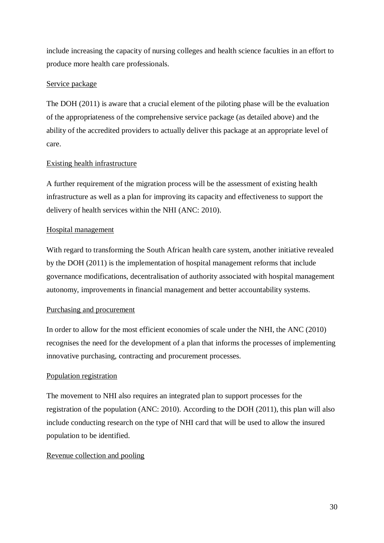include increasing the capacity of nursing colleges and health science faculties in an effort to produce more health care professionals.

## Service package

The DOH (2011) is aware that a crucial element of the piloting phase will be the evaluation of the appropriateness of the comprehensive service package (as detailed above) and the ability of the accredited providers to actually deliver this package at an appropriate level of care.

# Existing health infrastructure

A further requirement of the migration process will be the assessment of existing health infrastructure as well as a plan for improving its capacity and effectiveness to support the delivery of health services within the NHI (ANC: 2010).

# Hospital management

With regard to transforming the South African health care system, another initiative revealed by the DOH (2011) is the implementation of hospital management reforms that include governance modifications, decentralisation of authority associated with hospital management autonomy, improvements in financial management and better accountability systems.

# Purchasing and procurement

In order to allow for the most efficient economies of scale under the NHI, the ANC (2010) recognises the need for the development of a plan that informs the processes of implementing innovative purchasing, contracting and procurement processes.

# Population registration

The movement to NHI also requires an integrated plan to support processes for the registration of the population (ANC: 2010). According to the DOH (2011), this plan will also include conducting research on the type of NHI card that will be used to allow the insured population to be identified.

# Revenue collection and pooling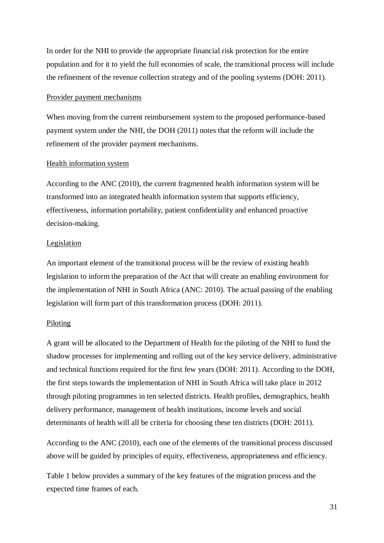In order for the NHI to provide the appropriate financial risk protection for the entire population and for it to yield the full economies of scale, the transitional process will include the refinement of the revenue collection strategy and of the pooling systems (DOH: 2011).

#### Provider payment mechanisms

When moving from the current reimbursement system to the proposed performance-based payment system under the NHI, the DOH (2011) notes that the reform will include the refinement of the provider payment mechanisms.

#### Health information system

According to the ANC (2010), the current fragmented health information system will be transformed into an integrated health information system that supports efficiency, effectiveness, information portability, patient confidentiality and enhanced proactive decision-making.

#### Legislation

An important element of the transitional process will be the review of existing health legislation to inform the preparation of the Act that will create an enabling environment for the implementation of NHI in South Africa (ANC: 2010). The actual passing of the enabling legislation will form part of this transformation process (DOH: 2011).

#### Piloting

A grant will be allocated to the Department of Health for the piloting of the NHI to fund the shadow processes for implementing and rolling out of the key service delivery, administrative and technical functions required for the first few years (DOH: 2011). According to the DOH, the first steps towards the implementation of NHI in South Africa will take place in 2012 through piloting programmes in ten selected districts. Health profiles, demographics, health delivery performance, management of health institutions, income levels and social determinants of health will all be criteria for choosing these ten districts (DOH: 2011).

According to the ANC (2010), each one of the elements of the transitional process discussed above will be guided by principles of equity, effectiveness, appropriateness and efficiency.

Table 1 below provides a summary of the key features of the migration process and the expected time frames of each.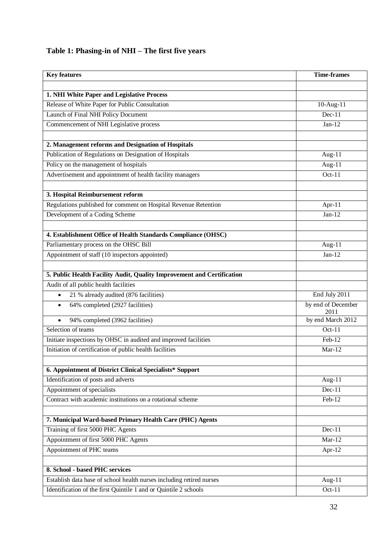# **Table 1: Phasing-in of NHI – The first five years**

| <b>Key features</b>                                                    | <b>Time-frames</b>         |
|------------------------------------------------------------------------|----------------------------|
|                                                                        |                            |
| 1. NHI White Paper and Legislative Process                             |                            |
| Release of White Paper for Public Consultation                         | 10-Aug-11                  |
| Launch of Final NHI Policy Document                                    | $Dec-11$                   |
| Commencement of NHI Legislative process                                | $Jan-12$                   |
|                                                                        |                            |
| 2. Management reforms and Designation of Hospitals                     |                            |
| Publication of Regulations on Designation of Hospitals                 | Aug-11                     |
| Policy on the management of hospitals                                  | Aug- $11$                  |
| Advertisement and appointment of health facility managers              | $Oct-11$                   |
| 3. Hospital Reimbursement reform                                       |                            |
| Regulations published for comment on Hospital Revenue Retention        | Apr-11                     |
| Development of a Coding Scheme                                         | $Jan-12$                   |
|                                                                        |                            |
| 4. Establishment Office of Health Standards Compliance (OHSC)          |                            |
| Parliamentary process on the OHSC Bill                                 | Aug- $11$                  |
| Appointment of staff (10 inspectors appointed)                         | $Jan-12$                   |
| 5. Public Health Facility Audit, Quality Improvement and Certification |                            |
| Audit of all public health facilities                                  |                            |
| 21 % already audited (876 facilities)<br>$\bullet$                     | End July 2011              |
| 64% completed (2927 facilities)<br>$\bullet$                           | by end of December<br>2011 |
| 94% completed (3962 facilities)                                        | by end March 2012          |
| Selection of teams                                                     | $Oct-11$                   |
| Initiate inspections by OHSC in audited and improved facilities        | $\overline{\text{Feb-12}}$ |
| Initiation of certification of public health facilities                | $Mar-12$                   |
| 6. Appointment of District Clinical Specialists* Support               |                            |
| Identification of posts and adverts                                    | Aug- $11$                  |
| Appointment of specialists                                             | $Dec-11$                   |
| Contract with academic institutions on a rotational scheme             | Feb-12                     |
|                                                                        |                            |
| 7. Municipal Ward-based Primary Health Care (PHC) Agents               |                            |
| Training of first 5000 PHC Agents                                      | $Dec-11$                   |
| Appointment of first 5000 PHC Agents                                   | $Mar-12$                   |
| Appointment of PHC teams                                               | Apr-12                     |
| 8. School - based PHC services                                         |                            |
| Establish data base of school health nurses including retired nurses   | Aug- $11$                  |
|                                                                        | Oct-11                     |
| Identification of the first Quintile 1 and or Quintile 2 schools       |                            |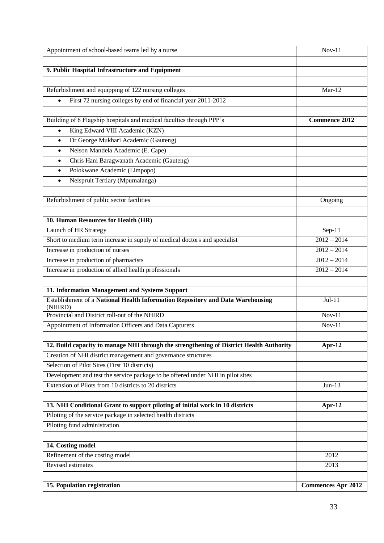| Appointment of school-based teams led by a nurse                                          | $Nov-11$                  |
|-------------------------------------------------------------------------------------------|---------------------------|
|                                                                                           |                           |
| 9. Public Hospital Infrastructure and Equipment                                           |                           |
|                                                                                           | $Mar-12$                  |
| Refurbishment and equipping of 122 nursing colleges                                       |                           |
| First 72 nursing colleges by end of financial year 2011-2012<br>$\bullet$                 |                           |
| Building of 6 Flagship hospitals and medical faculties through PPP's                      | <b>Commence 2012</b>      |
| King Edward VIII Academic (KZN)<br>$\bullet$                                              |                           |
| Dr George Mukhari Academic (Gauteng)<br>$\bullet$                                         |                           |
| Nelson Mandela Academic (E. Cape)<br>$\bullet$                                            |                           |
| Chris Hani Baragwanath Academic (Gauteng)<br>$\bullet$                                    |                           |
| Polokwane Academic (Limpopo)<br>$\bullet$                                                 |                           |
| Nelspruit Tertiary (Mpumalanga)<br>$\bullet$                                              |                           |
|                                                                                           |                           |
| Refurbishment of public sector facilities                                                 | Ongoing                   |
|                                                                                           |                           |
| 10. Human Resources for Health (HR)                                                       |                           |
| Launch of HR Strategy                                                                     | Sep- $11$                 |
| Short to medium term increase in supply of medical doctors and specialist                 | $2012 - 2014$             |
| Increase in production of nurses                                                          | $2012 - 2014$             |
| Increase in production of pharmacists                                                     | $2012 - 2014$             |
| Increase in production of allied health professionals                                     | $2012 - 2014$             |
|                                                                                           |                           |
| 11. Information Management and Systems Support                                            |                           |
| Establishment of a National Health Information Repository and Data Warehousing<br>(NHIRD) | $Jul-11$                  |
| Provincial and District roll-out of the NHIRD                                             | $Nov-11$                  |
| Appointment of Information Officers and Data Capturers                                    | $Nov-11$                  |
|                                                                                           |                           |
| 12. Build capacity to manage NHI through the strengthening of District Health Authority   | Apr- $12$                 |
| Creation of NHI district management and governance structures                             |                           |
| Selection of Pilot Sites (First 10 districts)                                             |                           |
| Development and test the service package to be offered under NHI in pilot sites           |                           |
| Extension of Pilots from 10 districts to 20 districts                                     | $Jun-13$                  |
| 13. NHI Conditional Grant to support piloting of initial work in 10 districts             | Apr- $12$                 |
| Piloting of the service package in selected health districts                              |                           |
| Piloting fund administration                                                              |                           |
|                                                                                           |                           |
| 14. Costing model                                                                         |                           |
| Refinement of the costing model                                                           | 2012                      |
| Revised estimates                                                                         | 2013                      |
|                                                                                           |                           |
| 15. Population registration                                                               | <b>Commences Apr 2012</b> |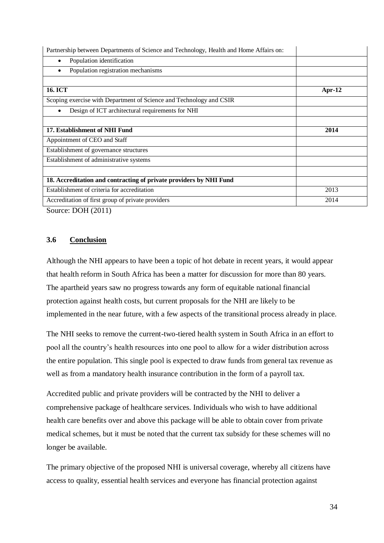| Population identification<br>٠                                      |           |
|---------------------------------------------------------------------|-----------|
|                                                                     |           |
| Population registration mechanisms                                  |           |
|                                                                     |           |
| <b>16. ICT</b>                                                      | Apr- $12$ |
| Scoping exercise with Department of Science and Technology and CSIR |           |
| Design of ICT architectural requirements for NHI                    |           |
|                                                                     |           |
| 17. Establishment of NHI Fund                                       | 2014      |
| Appointment of CEO and Staff                                        |           |
| Establishment of governance structures                              |           |
| Establishment of administrative systems                             |           |
|                                                                     |           |
| 18. Accreditation and contracting of private providers by NHI Fund  |           |
| Establishment of criteria for accreditation                         | 2013      |
| Accreditation of first group of private providers                   | 2014      |

Source: DOH (2011)

# <span id="page-33-0"></span>**3.6 Conclusion**

Although the NHI appears to have been a topic of hot debate in recent years, it would appear that health reform in South Africa has been a matter for discussion for more than 80 years. The apartheid years saw no progress towards any form of equitable national financial protection against health costs, but current proposals for the NHI are likely to be implemented in the near future, with a few aspects of the transitional process already in place.

The NHI seeks to remove the current-two-tiered health system in South Africa in an effort to pool all the country's health resources into one pool to allow for a wider distribution across the entire population. This single pool is expected to draw funds from general tax revenue as well as from a mandatory health insurance contribution in the form of a payroll tax.

Accredited public and private providers will be contracted by the NHI to deliver a comprehensive package of healthcare services. Individuals who wish to have additional health care benefits over and above this package will be able to obtain cover from private medical schemes, but it must be noted that the current tax subsidy for these schemes will no longer be available.

The primary objective of the proposed NHI is universal coverage, whereby all citizens have access to quality, essential health services and everyone has financial protection against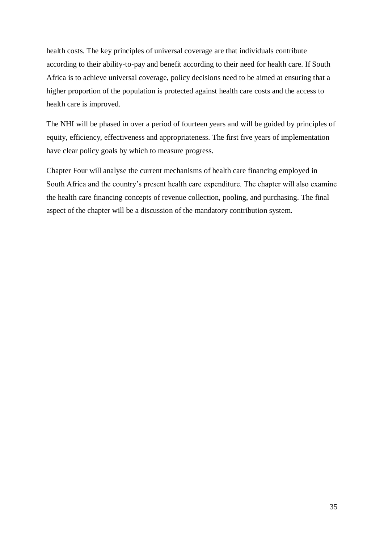health costs. The key principles of universal coverage are that individuals contribute according to their ability-to-pay and benefit according to their need for health care. If South Africa is to achieve universal coverage, policy decisions need to be aimed at ensuring that a higher proportion of the population is protected against health care costs and the access to health care is improved.

The NHI will be phased in over a period of fourteen years and will be guided by principles of equity, efficiency, effectiveness and appropriateness. The first five years of implementation have clear policy goals by which to measure progress.

Chapter Four will analyse the current mechanisms of health care financing employed in South Africa and the country's present health care expenditure. The chapter will also examine the health care financing concepts of revenue collection, pooling, and purchasing. The final aspect of the chapter will be a discussion of the mandatory contribution system.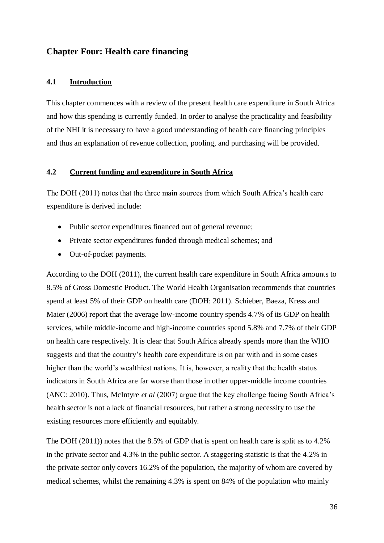# <span id="page-35-1"></span><span id="page-35-0"></span>**Chapter Four: Health care financing**

#### **4.1 Introduction**

This chapter commences with a review of the present health care expenditure in South Africa and how this spending is currently funded. In order to analyse the practicality and feasibility of the NHI it is necessary to have a good understanding of health care financing principles and thus an explanation of revenue collection, pooling, and purchasing will be provided.

#### <span id="page-35-2"></span>**4.2 Current funding and expenditure in South Africa**

The DOH (2011) notes that the three main sources from which South Africa's health care expenditure is derived include:

- Public sector expenditures financed out of general revenue;
- Private sector expenditures funded through medical schemes; and
- Out-of-pocket payments.

According to the DOH (2011), the current health care expenditure in South Africa amounts to 8.5% of Gross Domestic Product. The World Health Organisation recommends that countries spend at least 5% of their GDP on health care (DOH: 2011). Schieber, Baeza, Kress and Maier (2006) report that the average low-income country spends 4.7% of its GDP on health services, while middle-income and high-income countries spend 5.8% and 7.7% of their GDP on health care respectively. It is clear that South Africa already spends more than the WHO suggests and that the country's health care expenditure is on par with and in some cases higher than the world's wealthiest nations. It is, however, a reality that the health status indicators in South Africa are far worse than those in other upper-middle income countries (ANC: 2010). Thus, McIntyre *et al* (2007) argue that the key challenge facing South Africa's health sector is not a lack of financial resources, but rather a strong necessity to use the existing resources more efficiently and equitably.

The DOH (2011)) notes that the 8.5% of GDP that is spent on health care is split as to 4.2% in the private sector and 4.3% in the public sector. A staggering statistic is that the 4.2% in the private sector only covers 16.2% of the population, the majority of whom are covered by medical schemes, whilst the remaining 4.3% is spent on 84% of the population who mainly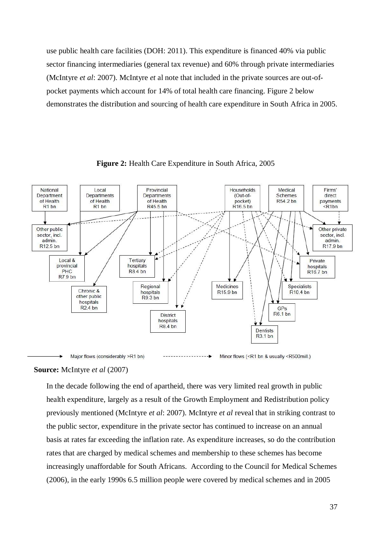use public health care facilities (DOH: 2011). This expenditure is financed 40% via public sector financing intermediaries (general tax revenue) and 60% through private intermediaries (McIntyre *et al*: 2007). McIntyre *et* al note that included in the private sources are out-ofpocket payments which account for 14% of total health care financing. Figure 2 below demonstrates the distribution and sourcing of health care expenditure in South Africa in 2005.



**Figure 2:** Health Care Expenditure in South Africa, 2005

#### **Source:** McIntyre *et al* (2007)

In the decade following the end of apartheid, there was very limited real growth in public health expenditure, largely as a result of the Growth Employment and Redistribution policy previously mentioned (McIntyre *et al*: 2007). McIntyre *et al* reveal that in striking contrast to the public sector, expenditure in the private sector has continued to increase on an annual basis at rates far exceeding the inflation rate. As expenditure increases, so do the contribution rates that are charged by medical schemes and membership to these schemes has become increasingly unaffordable for South Africans. According to the Council for Medical Schemes (2006), in the early 1990s 6.5 million people were covered by medical schemes and in 2005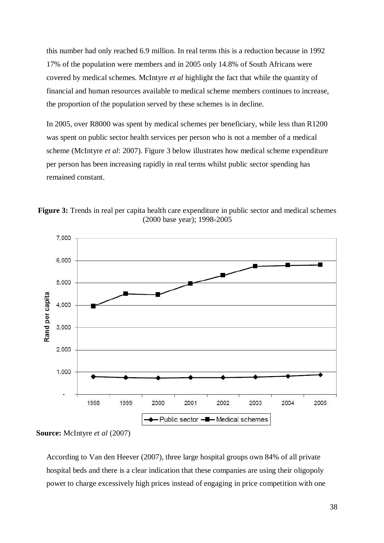this number had only reached 6.9 million. In real terms this is a reduction because in 1992 17% of the population were members and in 2005 only 14.8% of South Africans were covered by medical schemes. McIntyre *et al* highlight the fact that while the quantity of financial and human resources available to medical scheme members continues to increase, the proportion of the population served by these schemes is in decline.

In 2005, over R8000 was spent by medical schemes per beneficiary, while less than R1200 was spent on public sector health services per person who is not a member of a medical scheme (McIntyre *et al*: 2007). Figure 3 below illustrates how medical scheme expenditure per person has been increasing rapidly in real terms whilst public sector spending has remained constant.





**Source:** McIntyre *et al* (2007)

According to Van den Heever (2007), three large hospital groups own 84% of all private hospital beds and there is a clear indication that these companies are using their oligopoly power to charge excessively high prices instead of engaging in price competition with one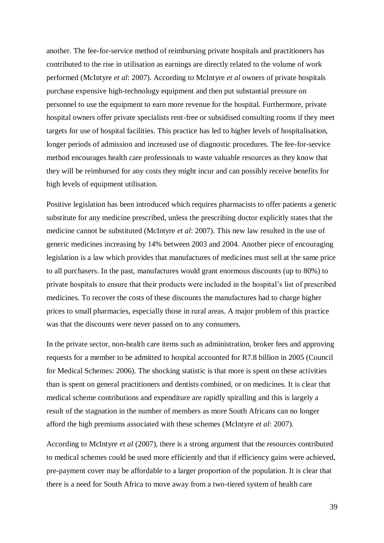another. The fee-for-service method of reimbursing private hospitals and practitioners has contributed to the rise in utilisation as earnings are directly related to the volume of work performed (McIntyre *et al*: 2007). According to McIntyre *et al* owners of private hospitals purchase expensive high-technology equipment and then put substantial pressure on personnel to use the equipment to earn more revenue for the hospital. Furthermore, private hospital owners offer private specialists rent-free or subsidised consulting rooms if they meet targets for use of hospital facilities. This practice has led to higher levels of hospitalisation, longer periods of admission and increased use of diagnostic procedures. The fee-for-service method encourages health care professionals to waste valuable resources as they know that they will be reimbursed for any costs they might incur and can possibly receive benefits for high levels of equipment utilisation.

Positive legislation has been introduced which requires pharmacists to offer patients a generic substitute for any medicine prescribed, unless the prescribing doctor explicitly states that the medicine cannot be substituted (McIntyre *et al*: 2007). This new law resulted in the use of generic medicines increasing by 14% between 2003 and 2004. Another piece of encouraging legislation is a law which provides that manufactures of medicines must sell at the same price to all purchasers. In the past, manufactures would grant enormous discounts (up to 80%) to private hospitals to ensure that their products were included in the hospital's list of prescribed medicines. To recover the costs of these discounts the manufactures had to charge higher prices to small pharmacies, especially those in rural areas. A major problem of this practice was that the discounts were never passed on to any consumers.

In the private sector, non-health care items such as administration, broker fees and approving requests for a member to be admitted to hospital accounted for R7.8 billion in 2005 (Council for Medical Schemes: 2006). The shocking statistic is that more is spent on these activities than is spent on general practitioners and dentists combined, or on medicines. It is clear that medical scheme contributions and expenditure are rapidly spiralling and this is largely a result of the stagnation in the number of members as more South Africans can no longer afford the high premiums associated with these schemes (McIntyre *et al*: 2007).

According to McIntyre *et al* (2007), there is a strong argument that the resources contributed to medical schemes could be used more efficiently and that if efficiency gains were achieved, pre-payment cover may be affordable to a larger proportion of the population. It is clear that there is a need for South Africa to move away from a two-tiered system of health care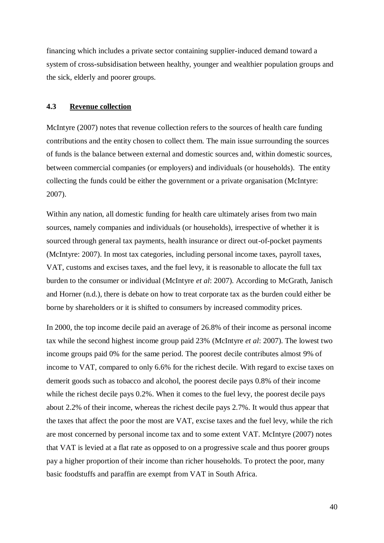financing which includes a private sector containing supplier-induced demand toward a system of cross-subsidisation between healthy, younger and wealthier population groups and the sick, elderly and poorer groups.

#### <span id="page-39-0"></span>**4.3 Revenue collection**

McIntyre (2007) notes that revenue collection refers to the sources of health care funding contributions and the entity chosen to collect them. The main issue surrounding the sources of funds is the balance between external and domestic sources and, within domestic sources, between commercial companies (or employers) and individuals (or households). The entity collecting the funds could be either the government or a private organisation (McIntyre: 2007).

Within any nation, all domestic funding for health care ultimately arises from two main sources, namely companies and individuals (or households), irrespective of whether it is sourced through general tax payments, health insurance or direct out-of-pocket payments (McIntyre: 2007). In most tax categories, including personal income taxes, payroll taxes, VAT, customs and excises taxes, and the fuel levy, it is reasonable to allocate the full tax burden to the consumer or individual (McIntyre *et al*: 2007). According to McGrath, Janisch and Horner (n.d.), there is debate on how to treat corporate tax as the burden could either be borne by shareholders or it is shifted to consumers by increased commodity prices.

In 2000, the top income decile paid an average of 26.8% of their income as personal income tax while the second highest income group paid 23% (McIntyre *et al*: 2007). The lowest two income groups paid 0% for the same period. The poorest decile contributes almost 9% of income to VAT, compared to only 6.6% for the richest decile. With regard to excise taxes on demerit goods such as tobacco and alcohol, the poorest decile pays 0.8% of their income while the richest decile pays  $0.2\%$ . When it comes to the fuel levy, the poorest decile pays about 2.2% of their income, whereas the richest decile pays 2.7%. It would thus appear that the taxes that affect the poor the most are VAT, excise taxes and the fuel levy, while the rich are most concerned by personal income tax and to some extent VAT. McIntyre (2007) notes that VAT is levied at a flat rate as opposed to on a progressive scale and thus poorer groups pay a higher proportion of their income than richer households. To protect the poor, many basic foodstuffs and paraffin are exempt from VAT in South Africa.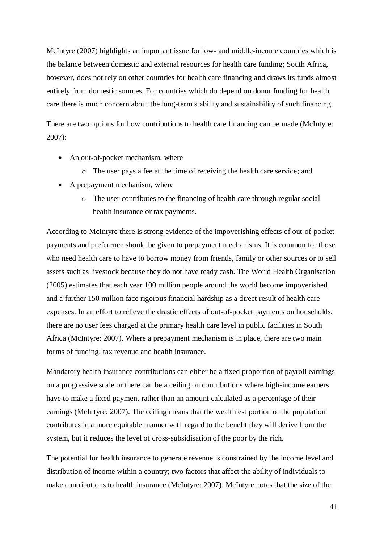McIntyre (2007) highlights an important issue for low- and middle-income countries which is the balance between domestic and external resources for health care funding; South Africa, however, does not rely on other countries for health care financing and draws its funds almost entirely from domestic sources. For countries which do depend on donor funding for health care there is much concern about the long-term stability and sustainability of such financing.

There are two options for how contributions to health care financing can be made (McIntyre: 2007):

- An out-of-pocket mechanism, where
	- o The user pays a fee at the time of receiving the health care service; and
- A prepayment mechanism, where
	- o The user contributes to the financing of health care through regular social health insurance or tax payments.

According to McIntyre there is strong evidence of the impoverishing effects of out-of-pocket payments and preference should be given to prepayment mechanisms. It is common for those who need health care to have to borrow money from friends, family or other sources or to sell assets such as livestock because they do not have ready cash. The World Health Organisation (2005) estimates that each year 100 million people around the world become impoverished and a further 150 million face rigorous financial hardship as a direct result of health care expenses. In an effort to relieve the drastic effects of out-of-pocket payments on households, there are no user fees charged at the primary health care level in public facilities in South Africa (McIntyre: 2007). Where a prepayment mechanism is in place, there are two main forms of funding; tax revenue and health insurance.

Mandatory health insurance contributions can either be a fixed proportion of payroll earnings on a progressive scale or there can be a ceiling on contributions where high-income earners have to make a fixed payment rather than an amount calculated as a percentage of their earnings (McIntyre: 2007). The ceiling means that the wealthiest portion of the population contributes in a more equitable manner with regard to the benefit they will derive from the system, but it reduces the level of cross-subsidisation of the poor by the rich.

The potential for health insurance to generate revenue is constrained by the income level and distribution of income within a country; two factors that affect the ability of individuals to make contributions to health insurance (McIntyre: 2007). McIntyre notes that the size of the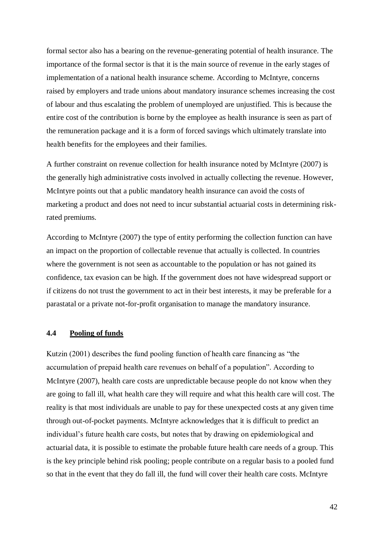formal sector also has a bearing on the revenue-generating potential of health insurance. The importance of the formal sector is that it is the main source of revenue in the early stages of implementation of a national health insurance scheme. According to McIntyre, concerns raised by employers and trade unions about mandatory insurance schemes increasing the cost of labour and thus escalating the problem of unemployed are unjustified. This is because the entire cost of the contribution is borne by the employee as health insurance is seen as part of the remuneration package and it is a form of forced savings which ultimately translate into health benefits for the employees and their families.

A further constraint on revenue collection for health insurance noted by McIntyre (2007) is the generally high administrative costs involved in actually collecting the revenue. However, McIntyre points out that a public mandatory health insurance can avoid the costs of marketing a product and does not need to incur substantial actuarial costs in determining riskrated premiums.

According to McIntyre (2007) the type of entity performing the collection function can have an impact on the proportion of collectable revenue that actually is collected. In countries where the government is not seen as accountable to the population or has not gained its confidence, tax evasion can be high. If the government does not have widespread support or if citizens do not trust the government to act in their best interests, it may be preferable for a parastatal or a private not-for-profit organisation to manage the mandatory insurance.

#### <span id="page-41-0"></span>**4.4 Pooling of funds**

Kutzin (2001) describes the fund pooling function of health care financing as "the accumulation of prepaid health care revenues on behalf of a population". According to McIntyre (2007), health care costs are unpredictable because people do not know when they are going to fall ill, what health care they will require and what this health care will cost. The reality is that most individuals are unable to pay for these unexpected costs at any given time through out-of-pocket payments. McIntyre acknowledges that it is difficult to predict an individual's future health care costs, but notes that by drawing on epidemiological and actuarial data, it is possible to estimate the probable future health care needs of a group. This is the key principle behind risk pooling; people contribute on a regular basis to a pooled fund so that in the event that they do fall ill, the fund will cover their health care costs. McIntyre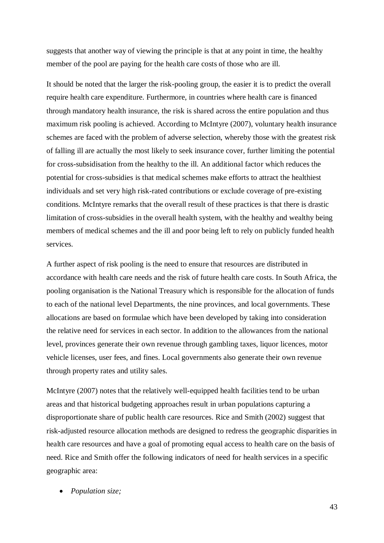suggests that another way of viewing the principle is that at any point in time, the healthy member of the pool are paying for the health care costs of those who are ill.

It should be noted that the larger the risk-pooling group, the easier it is to predict the overall require health care expenditure. Furthermore, in countries where health care is financed through mandatory health insurance, the risk is shared across the entire population and thus maximum risk pooling is achieved. According to McIntyre (2007), voluntary health insurance schemes are faced with the problem of adverse selection, whereby those with the greatest risk of falling ill are actually the most likely to seek insurance cover, further limiting the potential for cross-subsidisation from the healthy to the ill. An additional factor which reduces the potential for cross-subsidies is that medical schemes make efforts to attract the healthiest individuals and set very high risk-rated contributions or exclude coverage of pre-existing conditions. McIntyre remarks that the overall result of these practices is that there is drastic limitation of cross-subsidies in the overall health system, with the healthy and wealthy being members of medical schemes and the ill and poor being left to rely on publicly funded health services.

A further aspect of risk pooling is the need to ensure that resources are distributed in accordance with health care needs and the risk of future health care costs. In South Africa, the pooling organisation is the National Treasury which is responsible for the allocation of funds to each of the national level Departments, the nine provinces, and local governments. These allocations are based on formulae which have been developed by taking into consideration the relative need for services in each sector. In addition to the allowances from the national level, provinces generate their own revenue through gambling taxes, liquor licences, motor vehicle licenses, user fees, and fines. Local governments also generate their own revenue through property rates and utility sales.

McIntyre (2007) notes that the relatively well-equipped health facilities tend to be urban areas and that historical budgeting approaches result in urban populations capturing a disproportionate share of public health care resources. Rice and Smith (2002) suggest that risk-adjusted resource allocation methods are designed to redress the geographic disparities in health care resources and have a goal of promoting equal access to health care on the basis of need. Rice and Smith offer the following indicators of need for health services in a specific geographic area:

*Population size;*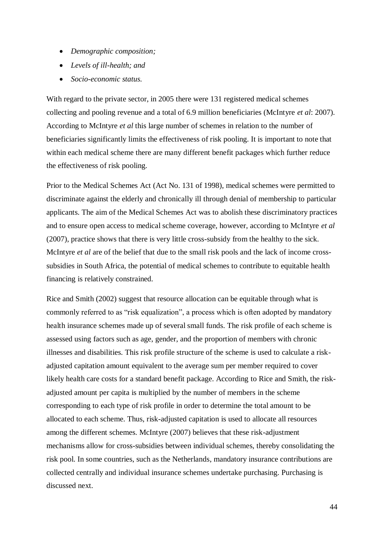- *Demographic composition;*
- *Levels of ill-health; and*
- *Socio-economic status.*

With regard to the private sector, in 2005 there were 131 registered medical schemes collecting and pooling revenue and a total of 6.9 million beneficiaries (McIntyre *et al*: 2007). According to McIntyre *et al* this large number of schemes in relation to the number of beneficiaries significantly limits the effectiveness of risk pooling. It is important to note that within each medical scheme there are many different benefit packages which further reduce the effectiveness of risk pooling.

Prior to the Medical Schemes Act (Act No. 131 of 1998), medical schemes were permitted to discriminate against the elderly and chronically ill through denial of membership to particular applicants. The aim of the Medical Schemes Act was to abolish these discriminatory practices and to ensure open access to medical scheme coverage, however, according to McIntyre *et al*  (2007), practice shows that there is very little cross-subsidy from the healthy to the sick. McIntyre *et al* are of the belief that due to the small risk pools and the lack of income crosssubsidies in South Africa, the potential of medical schemes to contribute to equitable health financing is relatively constrained.

Rice and Smith (2002) suggest that resource allocation can be equitable through what is commonly referred to as "risk equalization", a process which is often adopted by mandatory health insurance schemes made up of several small funds. The risk profile of each scheme is assessed using factors such as age, gender, and the proportion of members with chronic illnesses and disabilities. This risk profile structure of the scheme is used to calculate a riskadjusted capitation amount equivalent to the average sum per member required to cover likely health care costs for a standard benefit package. According to Rice and Smith, the riskadjusted amount per capita is multiplied by the number of members in the scheme corresponding to each type of risk profile in order to determine the total amount to be allocated to each scheme. Thus, risk-adjusted capitation is used to allocate all resources among the different schemes. McIntyre (2007) believes that these risk-adjustment mechanisms allow for cross-subsidies between individual schemes, thereby consolidating the risk pool. In some countries, such as the Netherlands, mandatory insurance contributions are collected centrally and individual insurance schemes undertake purchasing. Purchasing is discussed next.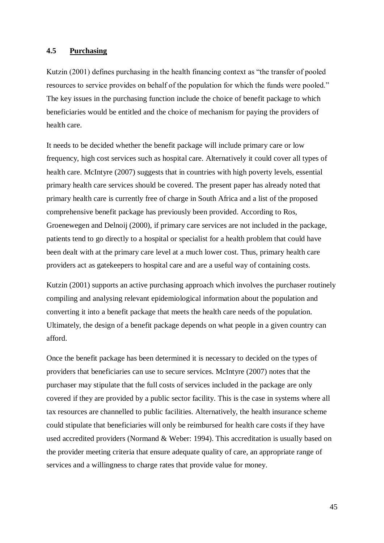#### <span id="page-44-0"></span>**4.5 Purchasing**

Kutzin (2001) defines purchasing in the health financing context as "the transfer of pooled resources to service provides on behalf of the population for which the funds were pooled." The key issues in the purchasing function include the choice of benefit package to which beneficiaries would be entitled and the choice of mechanism for paying the providers of health care.

It needs to be decided whether the benefit package will include primary care or low frequency, high cost services such as hospital care. Alternatively it could cover all types of health care. McIntyre (2007) suggests that in countries with high poverty levels, essential primary health care services should be covered. The present paper has already noted that primary health care is currently free of charge in South Africa and a list of the proposed comprehensive benefit package has previously been provided. According to Ros, Groenewegen and Delnoij (2000), if primary care services are not included in the package, patients tend to go directly to a hospital or specialist for a health problem that could have been dealt with at the primary care level at a much lower cost. Thus, primary health care providers act as gatekeepers to hospital care and are a useful way of containing costs.

Kutzin (2001) supports an active purchasing approach which involves the purchaser routinely compiling and analysing relevant epidemiological information about the population and converting it into a benefit package that meets the health care needs of the population. Ultimately, the design of a benefit package depends on what people in a given country can afford.

Once the benefit package has been determined it is necessary to decided on the types of providers that beneficiaries can use to secure services. McIntyre (2007) notes that the purchaser may stipulate that the full costs of services included in the package are only covered if they are provided by a public sector facility. This is the case in systems where all tax resources are channelled to public facilities. Alternatively, the health insurance scheme could stipulate that beneficiaries will only be reimbursed for health care costs if they have used accredited providers (Normand & Weber: 1994). This accreditation is usually based on the provider meeting criteria that ensure adequate quality of care, an appropriate range of services and a willingness to charge rates that provide value for money.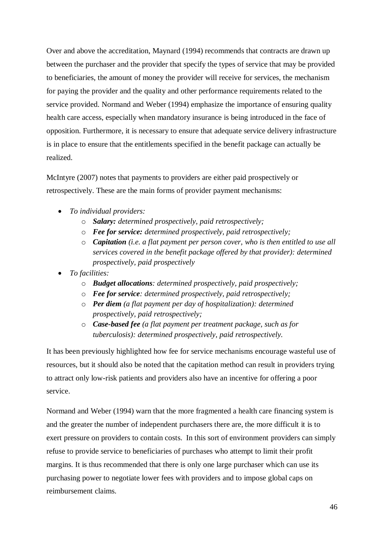Over and above the accreditation, Maynard (1994) recommends that contracts are drawn up between the purchaser and the provider that specify the types of service that may be provided to beneficiaries, the amount of money the provider will receive for services, the mechanism for paying the provider and the quality and other performance requirements related to the service provided. Normand and Weber (1994) emphasize the importance of ensuring quality health care access, especially when mandatory insurance is being introduced in the face of opposition. Furthermore, it is necessary to ensure that adequate service delivery infrastructure is in place to ensure that the entitlements specified in the benefit package can actually be realized.

McIntyre (2007) notes that payments to providers are either paid prospectively or retrospectively. These are the main forms of provider payment mechanisms:

- *To individual providers:*
	- o *Salary: determined prospectively, paid retrospectively;*
	- o *Fee for service: determined prospectively, paid retrospectively;*
	- o *Capitation (i.e. a flat payment per person cover, who is then entitled to use all services covered in the benefit package offered by that provider): determined prospectively, paid prospectively*
- *To facilities:*
	- o *Budget allocations: determined prospectively, paid prospectively;*
	- o *Fee for service: determined prospectively, paid retrospectively;*
	- o *Per diem (a flat payment per day of hospitalization): determined prospectively, paid retrospectively;*
	- o *Case-based fee (a flat payment per treatment package, such as for tuberculosis): determined prospectively, paid retrospectively.*

It has been previously highlighted how fee for service mechanisms encourage wasteful use of resources, but it should also be noted that the capitation method can result in providers trying to attract only low-risk patients and providers also have an incentive for offering a poor service.

Normand and Weber (1994) warn that the more fragmented a health care financing system is and the greater the number of independent purchasers there are, the more difficult it is to exert pressure on providers to contain costs. In this sort of environment providers can simply refuse to provide service to beneficiaries of purchases who attempt to limit their profit margins. It is thus recommended that there is only one large purchaser which can use its purchasing power to negotiate lower fees with providers and to impose global caps on reimbursement claims.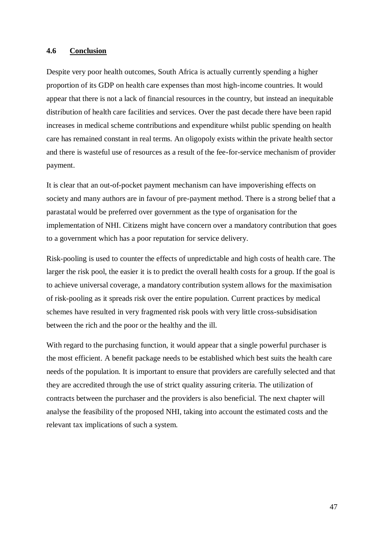#### <span id="page-46-0"></span>**4.6 Conclusion**

Despite very poor health outcomes, South Africa is actually currently spending a higher proportion of its GDP on health care expenses than most high-income countries. It would appear that there is not a lack of financial resources in the country, but instead an inequitable distribution of health care facilities and services. Over the past decade there have been rapid increases in medical scheme contributions and expenditure whilst public spending on health care has remained constant in real terms. An oligopoly exists within the private health sector and there is wasteful use of resources as a result of the fee-for-service mechanism of provider payment.

It is clear that an out-of-pocket payment mechanism can have impoverishing effects on society and many authors are in favour of pre-payment method. There is a strong belief that a parastatal would be preferred over government as the type of organisation for the implementation of NHI. Citizens might have concern over a mandatory contribution that goes to a government which has a poor reputation for service delivery.

Risk-pooling is used to counter the effects of unpredictable and high costs of health care. The larger the risk pool, the easier it is to predict the overall health costs for a group. If the goal is to achieve universal coverage, a mandatory contribution system allows for the maximisation of risk-pooling as it spreads risk over the entire population. Current practices by medical schemes have resulted in very fragmented risk pools with very little cross-subsidisation between the rich and the poor or the healthy and the ill.

With regard to the purchasing function, it would appear that a single powerful purchaser is the most efficient. A benefit package needs to be established which best suits the health care needs of the population. It is important to ensure that providers are carefully selected and that they are accredited through the use of strict quality assuring criteria. The utilization of contracts between the purchaser and the providers is also beneficial. The next chapter will analyse the feasibility of the proposed NHI, taking into account the estimated costs and the relevant tax implications of such a system.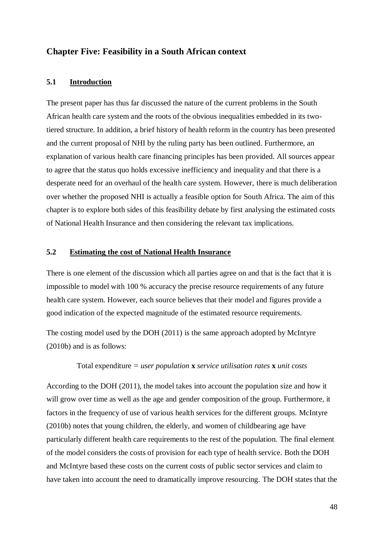#### <span id="page-47-1"></span><span id="page-47-0"></span>**Chapter Five: Feasibility in a South African context**

#### **5.1 Introduction**

The present paper has thus far discussed the nature of the current problems in the South African health care system and the roots of the obvious inequalities embedded in its twotiered structure. In addition, a brief history of health reform in the country has been presented and the current proposal of NHI by the ruling party has been outlined. Furthermore, an explanation of various health care financing principles has been provided. All sources appear to agree that the status quo holds excessive inefficiency and inequality and that there is a desperate need for an overhaul of the health care system. However, there is much deliberation over whether the proposed NHI is actually a feasible option for South Africa. The aim of this chapter is to explore both sides of this feasibility debate by first analysing the estimated costs of National Health Insurance and then considering the relevant tax implications.

#### <span id="page-47-2"></span>**5.2 Estimating the cost of National Health Insurance**

There is one element of the discussion which all parties agree on and that is the fact that it is impossible to model with 100 % accuracy the precise resource requirements of any future health care system. However, each source believes that their model and figures provide a good indication of the expected magnitude of the estimated resource requirements.

The costing model used by the DOH (2011) is the same approach adopted by McIntyre (2010b) and is as follows:

#### Total expenditure *= user population* **x** *service utilisation rates* **x** *unit costs*

According to the DOH (2011), the model takes into account the population size and how it will grow over time as well as the age and gender composition of the group. Furthermore, it factors in the frequency of use of various health services for the different groups. McIntyre (2010b) notes that young children, the elderly, and women of childbearing age have particularly different health care requirements to the rest of the population. The final element of the model considers the costs of provision for each type of health service. Both the DOH and McIntyre based these costs on the current costs of public sector services and claim to have taken into account the need to dramatically improve resourcing. The DOH states that the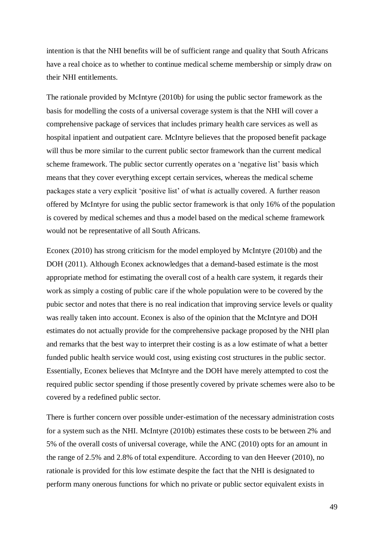intention is that the NHI benefits will be of sufficient range and quality that South Africans have a real choice as to whether to continue medical scheme membership or simply draw on their NHI entitlements.

The rationale provided by McIntyre (2010b) for using the public sector framework as the basis for modelling the costs of a universal coverage system is that the NHI will cover a comprehensive package of services that includes primary health care services as well as hospital inpatient and outpatient care. McIntyre believes that the proposed benefit package will thus be more similar to the current public sector framework than the current medical scheme framework. The public sector currently operates on a 'negative list' basis which means that they cover everything except certain services, whereas the medical scheme packages state a very explicit 'positive list' of what *is* actually covered. A further reason offered by McIntyre for using the public sector framework is that only 16% of the population is covered by medical schemes and thus a model based on the medical scheme framework would not be representative of all South Africans.

Econex (2010) has strong criticism for the model employed by McIntyre (2010b) and the DOH (2011). Although Econex acknowledges that a demand-based estimate is the most appropriate method for estimating the overall cost of a health care system, it regards their work as simply a costing of public care if the whole population were to be covered by the pubic sector and notes that there is no real indication that improving service levels or quality was really taken into account. Econex is also of the opinion that the McIntyre and DOH estimates do not actually provide for the comprehensive package proposed by the NHI plan and remarks that the best way to interpret their costing is as a low estimate of what a better funded public health service would cost, using existing cost structures in the public sector. Essentially, Econex believes that McIntyre and the DOH have merely attempted to cost the required public sector spending if those presently covered by private schemes were also to be covered by a redefined public sector.

There is further concern over possible under-estimation of the necessary administration costs for a system such as the NHI. McIntyre (2010b) estimates these costs to be between 2% and 5% of the overall costs of universal coverage, while the ANC (2010) opts for an amount in the range of 2.5% and 2.8% of total expenditure. According to van den Heever (2010), no rationale is provided for this low estimate despite the fact that the NHI is designated to perform many onerous functions for which no private or public sector equivalent exists in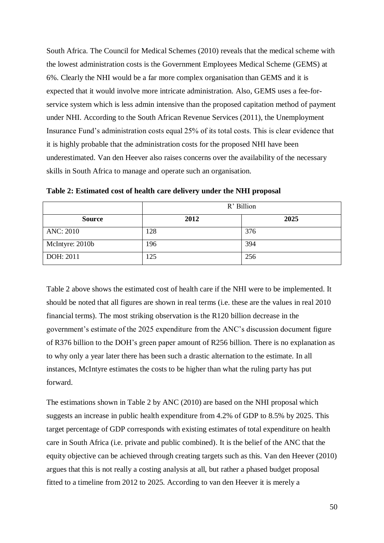South Africa. The Council for Medical Schemes (2010) reveals that the medical scheme with the lowest administration costs is the Government Employees Medical Scheme (GEMS) at 6%. Clearly the NHI would be a far more complex organisation than GEMS and it is expected that it would involve more intricate administration. Also, GEMS uses a fee-forservice system which is less admin intensive than the proposed capitation method of payment under NHI. According to the South African Revenue Services (2011), the Unemployment Insurance Fund's administration costs equal 25% of its total costs. This is clear evidence that it is highly probable that the administration costs for the proposed NHI have been underestimated. Van den Heever also raises concerns over the availability of the necessary skills in South Africa to manage and operate such an organisation.

|                  | R' Billion |      |  |
|------------------|------------|------|--|
| <b>Source</b>    | 2012       | 2025 |  |
| <b>ANC: 2010</b> | 128        | 376  |  |
| McIntyre: 2010b  | 196        | 394  |  |
| DOH: 2011        | 125        | 256  |  |

**Table 2: Estimated cost of health care delivery under the NHI proposal**

Table 2 above shows the estimated cost of health care if the NHI were to be implemented. It should be noted that all figures are shown in real terms (i.e. these are the values in real 2010 financial terms). The most striking observation is the R120 billion decrease in the government's estimate of the 2025 expenditure from the ANC's discussion document figure of R376 billion to the DOH's green paper amount of R256 billion. There is no explanation as to why only a year later there has been such a drastic alternation to the estimate. In all instances, McIntyre estimates the costs to be higher than what the ruling party has put forward.

The estimations shown in Table 2 by ANC (2010) are based on the NHI proposal which suggests an increase in public health expenditure from 4.2% of GDP to 8.5% by 2025. This target percentage of GDP corresponds with existing estimates of total expenditure on health care in South Africa (i.e. private and public combined). It is the belief of the ANC that the equity objective can be achieved through creating targets such as this. Van den Heever (2010) argues that this is not really a costing analysis at all, but rather a phased budget proposal fitted to a timeline from 2012 to 2025. According to van den Heever it is merely a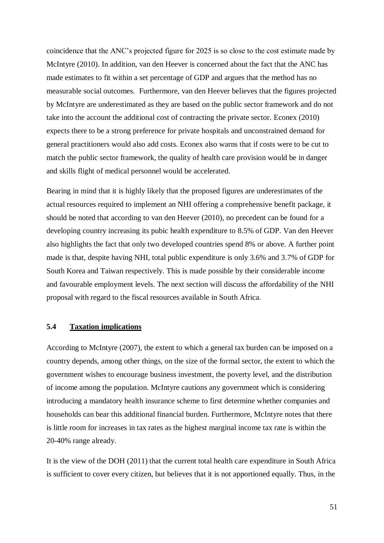coincidence that the ANC's projected figure for 2025 is so close to the cost estimate made by McIntyre (2010). In addition, van den Heever is concerned about the fact that the ANC has made estimates to fit within a set percentage of GDP and argues that the method has no measurable social outcomes. Furthermore, van den Heever believes that the figures projected by McIntyre are underestimated as they are based on the public sector framework and do not take into the account the additional cost of contracting the private sector. Econex (2010) expects there to be a strong preference for private hospitals and unconstrained demand for general practitioners would also add costs. Econex also warns that if costs were to be cut to match the public sector framework, the quality of health care provision would be in danger and skills flight of medical personnel would be accelerated.

Bearing in mind that it is highly likely that the proposed figures are underestimates of the actual resources required to implement an NHI offering a comprehensive benefit package, it should be noted that according to van den Heever (2010), no precedent can be found for a developing country increasing its pubic health expenditure to 8.5% of GDP. Van den Heever also highlights the fact that only two developed countries spend 8% or above. A further point made is that, despite having NHI, total public expenditure is only 3.6% and 3.7% of GDP for South Korea and Taiwan respectively. This is made possible by their considerable income and favourable employment levels. The next section will discuss the affordability of the NHI proposal with regard to the fiscal resources available in South Africa.

#### <span id="page-50-0"></span>**5.4 Taxation implications**

According to McIntyre (2007), the extent to which a general tax burden can be imposed on a country depends, among other things, on the size of the formal sector, the extent to which the government wishes to encourage business investment, the poverty level, and the distribution of income among the population. McIntyre cautions any government which is considering introducing a mandatory health insurance scheme to first determine whether companies and households can bear this additional financial burden. Furthermore, McIntyre notes that there is little room for increases in tax rates as the highest marginal income tax rate is within the 20-40% range already.

It is the view of the DOH (2011) that the current total health care expenditure in South Africa is sufficient to cover every citizen, but believes that it is not apportioned equally. Thus, in the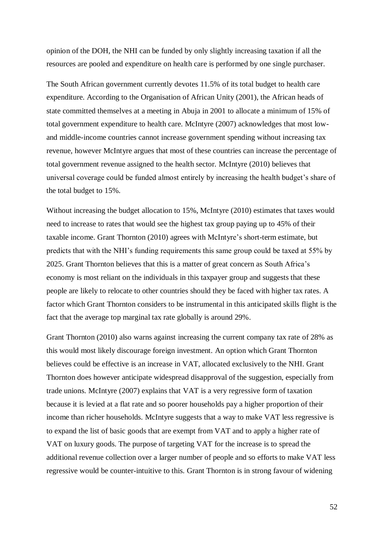opinion of the DOH, the NHI can be funded by only slightly increasing taxation if all the resources are pooled and expenditure on health care is performed by one single purchaser.

The South African government currently devotes 11.5% of its total budget to health care expenditure. According to the Organisation of African Unity (2001), the African heads of state committed themselves at a meeting in Abuja in 2001 to allocate a minimum of 15% of total government expenditure to health care. McIntyre (2007) acknowledges that most lowand middle-income countries cannot increase government spending without increasing tax revenue, however McIntyre argues that most of these countries can increase the percentage of total government revenue assigned to the health sector. McIntyre (2010) believes that universal coverage could be funded almost entirely by increasing the health budget's share of the total budget to 15%.

Without increasing the budget allocation to 15%, McIntyre (2010) estimates that taxes would need to increase to rates that would see the highest tax group paying up to 45% of their taxable income. Grant Thornton (2010) agrees with McIntyre's short-term estimate, but predicts that with the NHI's funding requirements this same group could be taxed at 55% by 2025. Grant Thornton believes that this is a matter of great concern as South Africa's economy is most reliant on the individuals in this taxpayer group and suggests that these people are likely to relocate to other countries should they be faced with higher tax rates. A factor which Grant Thornton considers to be instrumental in this anticipated skills flight is the fact that the average top marginal tax rate globally is around 29%.

Grant Thornton (2010) also warns against increasing the current company tax rate of 28% as this would most likely discourage foreign investment. An option which Grant Thornton believes could be effective is an increase in VAT, allocated exclusively to the NHI. Grant Thornton does however anticipate widespread disapproval of the suggestion, especially from trade unions. McIntyre (2007) explains that VAT is a very regressive form of taxation because it is levied at a flat rate and so poorer households pay a higher proportion of their income than richer households. McIntyre suggests that a way to make VAT less regressive is to expand the list of basic goods that are exempt from VAT and to apply a higher rate of VAT on luxury goods. The purpose of targeting VAT for the increase is to spread the additional revenue collection over a larger number of people and so efforts to make VAT less regressive would be counter-intuitive to this. Grant Thornton is in strong favour of widening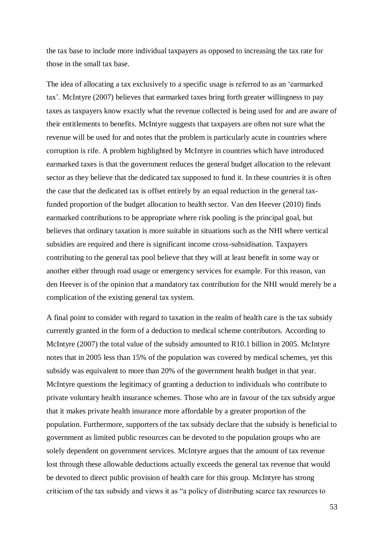the tax base to include more individual taxpayers as opposed to increasing the tax rate for those in the small tax base.

The idea of allocating a tax exclusively to a specific usage is referred to as an 'earmarked tax'. McIntyre (2007) believes that earmarked taxes bring forth greater willingness to pay taxes as taxpayers know exactly what the revenue collected is being used for and are aware of their entitlements to benefits. McIntyre suggests that taxpayers are often not sure what the revenue will be used for and notes that the problem is particularly acute in countries where corruption is rife. A problem highlighted by McIntyre in countries which have introduced earmarked taxes is that the government reduces the general budget allocation to the relevant sector as they believe that the dedicated tax supposed to fund it. In these countries it is often the case that the dedicated tax is offset entirely by an equal reduction in the general taxfunded proportion of the budget allocation to health sector. Van den Heever (2010) finds earmarked contributions to be appropriate where risk pooling is the principal goal, but believes that ordinary taxation is more suitable in situations such as the NHI where vertical subsidies are required and there is significant income cross-subsidisation. Taxpayers contributing to the general tax pool believe that they will at least benefit in some way or another either through road usage or emergency services for example. For this reason, van den Heever is of the opinion that a mandatory tax contribution for the NHI would merely be a complication of the existing general tax system.

A final point to consider with regard to taxation in the realm of health care is the tax subsidy currently granted in the form of a deduction to medical scheme contributors. According to McIntyre (2007) the total value of the subsidy amounted to R10.1 billion in 2005. McIntyre notes that in 2005 less than 15% of the population was covered by medical schemes, yet this subsidy was equivalent to more than 20% of the government health budget in that year. McIntyre questions the legitimacy of granting a deduction to individuals who contribute to private voluntary health insurance schemes. Those who are in favour of the tax subsidy argue that it makes private health insurance more affordable by a greater proportion of the population. Furthermore, supporters of the tax subsidy declare that the subsidy is beneficial to government as limited public resources can be devoted to the population groups who are solely dependent on government services. McIntyre argues that the amount of tax revenue lost through these allowable deductions actually exceeds the general tax revenue that would be devoted to direct public provision of health care for this group. McIntyre has strong criticism of the tax subsidy and views it as "a policy of distributing scarce tax resources to

53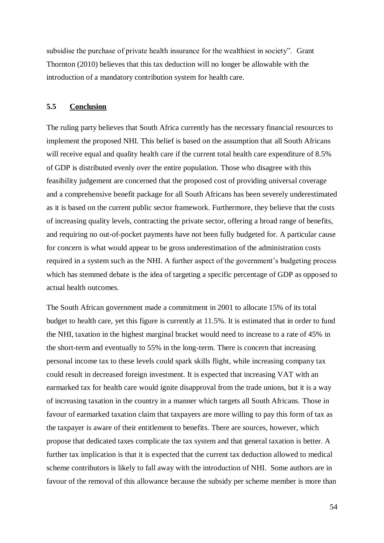subsidise the purchase of private health insurance for the wealthiest in society". Grant Thornton (2010) believes that this tax deduction will no longer be allowable with the introduction of a mandatory contribution system for health care.

#### <span id="page-53-0"></span>**5.5 Conclusion**

The ruling party believes that South Africa currently has the necessary financial resources to implement the proposed NHI. This belief is based on the assumption that all South Africans will receive equal and quality health care if the current total health care expenditure of 8.5% of GDP is distributed evenly over the entire population. Those who disagree with this feasibility judgement are concerned that the proposed cost of providing universal coverage and a comprehensive benefit package for all South Africans has been severely underestimated as it is based on the current public sector framework. Furthermore, they believe that the costs of increasing quality levels, contracting the private sector, offering a broad range of benefits, and requiring no out-of-pocket payments have not been fully budgeted for. A particular cause for concern is what would appear to be gross underestimation of the administration costs required in a system such as the NHI. A further aspect of the government's budgeting process which has stemmed debate is the idea of targeting a specific percentage of GDP as opposed to actual health outcomes.

The South African government made a commitment in 2001 to allocate 15% of its total budget to health care, yet this figure is currently at 11.5%. It is estimated that in order to fund the NHI, taxation in the highest marginal bracket would need to increase to a rate of 45% in the short-term and eventually to 55% in the long-term. There is concern that increasing personal income tax to these levels could spark skills flight, while increasing company tax could result in decreased foreign investment. It is expected that increasing VAT with an earmarked tax for health care would ignite disapproval from the trade unions, but it is a way of increasing taxation in the country in a manner which targets all South Africans. Those in favour of earmarked taxation claim that taxpayers are more willing to pay this form of tax as the taxpayer is aware of their entitlement to benefits. There are sources, however, which propose that dedicated taxes complicate the tax system and that general taxation is better. A further tax implication is that it is expected that the current tax deduction allowed to medical scheme contributors is likely to fall away with the introduction of NHI. Some authors are in favour of the removal of this allowance because the subsidy per scheme member is more than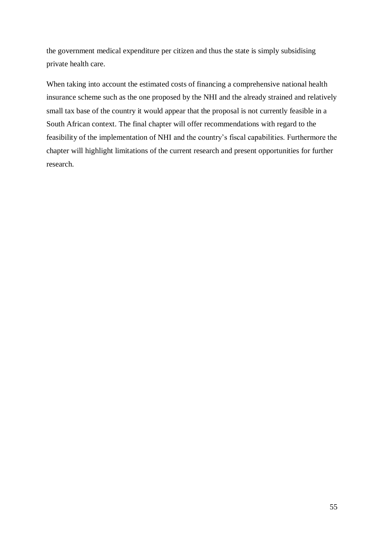the government medical expenditure per citizen and thus the state is simply subsidising private health care.

When taking into account the estimated costs of financing a comprehensive national health insurance scheme such as the one proposed by the NHI and the already strained and relatively small tax base of the country it would appear that the proposal is not currently feasible in a South African context. The final chapter will offer recommendations with regard to the feasibility of the implementation of NHI and the country's fiscal capabilities. Furthermore the chapter will highlight limitations of the current research and present opportunities for further research.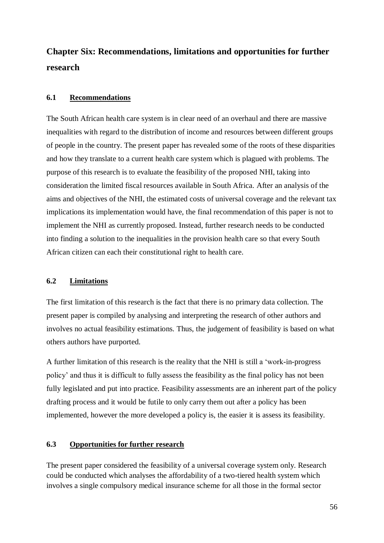# <span id="page-55-0"></span>**Chapter Six: Recommendations, limitations and opportunities for further research**

### <span id="page-55-1"></span>**6.1 Recommendations**

The South African health care system is in clear need of an overhaul and there are massive inequalities with regard to the distribution of income and resources between different groups of people in the country. The present paper has revealed some of the roots of these disparities and how they translate to a current health care system which is plagued with problems. The purpose of this research is to evaluate the feasibility of the proposed NHI, taking into consideration the limited fiscal resources available in South Africa. After an analysis of the aims and objectives of the NHI, the estimated costs of universal coverage and the relevant tax implications its implementation would have, the final recommendation of this paper is not to implement the NHI as currently proposed. Instead, further research needs to be conducted into finding a solution to the inequalities in the provision health care so that every South African citizen can each their constitutional right to health care.

#### <span id="page-55-2"></span>**6.2 Limitations**

The first limitation of this research is the fact that there is no primary data collection. The present paper is compiled by analysing and interpreting the research of other authors and involves no actual feasibility estimations. Thus, the judgement of feasibility is based on what others authors have purported.

A further limitation of this research is the reality that the NHI is still a 'work-in-progress policy' and thus it is difficult to fully assess the feasibility as the final policy has not been fully legislated and put into practice. Feasibility assessments are an inherent part of the policy drafting process and it would be futile to only carry them out after a policy has been implemented, however the more developed a policy is, the easier it is assess its feasibility.

## <span id="page-55-3"></span>**6.3 Opportunities for further research**

The present paper considered the feasibility of a universal coverage system only. Research could be conducted which analyses the affordability of a two-tiered health system which involves a single compulsory medical insurance scheme for all those in the formal sector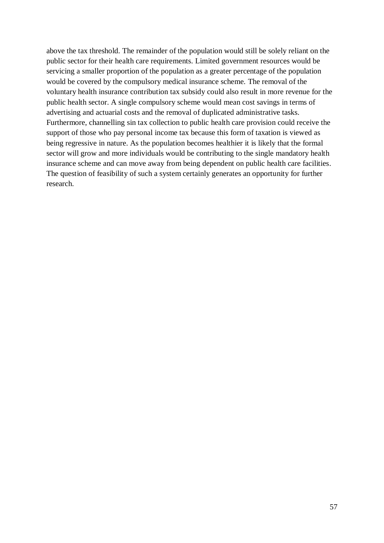above the tax threshold. The remainder of the population would still be solely reliant on the public sector for their health care requirements. Limited government resources would be servicing a smaller proportion of the population as a greater percentage of the population would be covered by the compulsory medical insurance scheme. The removal of the voluntary health insurance contribution tax subsidy could also result in more revenue for the public health sector. A single compulsory scheme would mean cost savings in terms of advertising and actuarial costs and the removal of duplicated administrative tasks. Furthermore, channelling sin tax collection to public health care provision could receive the support of those who pay personal income tax because this form of taxation is viewed as being regressive in nature. As the population becomes healthier it is likely that the formal sector will grow and more individuals would be contributing to the single mandatory health insurance scheme and can move away from being dependent on public health care facilities. The question of feasibility of such a system certainly generates an opportunity for further research.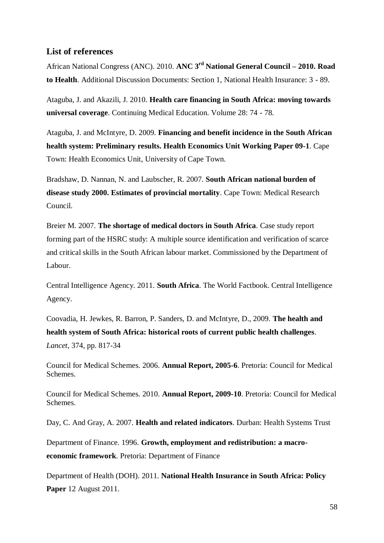# <span id="page-57-0"></span>**List of references**

African National Congress (ANC). 2010. **ANC 3rd National General Council – 2010. Road to Health**. Additional Discussion Documents: Section 1, National Health Insurance: 3 - 89.

Ataguba, J. and Akazili, J. 2010. **Health care financing in South Africa: moving towards universal coverage**. Continuing Medical Education. Volume 28: 74 - 78.

Ataguba, J. and McIntyre, D. 2009. **Financing and benefit incidence in the South African health system: Preliminary results. Health Economics Unit Working Paper 09-1**. Cape Town: Health Economics Unit, University of Cape Town.

Bradshaw, D. Nannan, N. and Laubscher, R. 2007. **South African national burden of disease study 2000. Estimates of provincial mortality**. Cape Town: Medical Research Council.

Breier M. 2007. **The shortage of medical doctors in South Africa**. Case study report forming part of the HSRC study: A multiple source identification and verification of scarce and critical skills in the South African labour market. Commissioned by the Department of Labour.

Central Intelligence Agency. 2011. **South Africa**. The World Factbook. Central Intelligence Agency.

Coovadia, H. Jewkes, R. Barron, P. Sanders, D. and McIntyre, D., 2009. **The health and health system of South Africa: historical roots of current public health challenges**. *Lancet*, 374, pp. 817-34

Council for Medical Schemes. 2006. **Annual Report, 2005-6**. Pretoria: Council for Medical Schemes.

Council for Medical Schemes. 2010. **Annual Report, 2009-10**. Pretoria: Council for Medical Schemes.

Day, C. And Gray, A. 2007. **Health and related indicators**. Durban: Health Systems Trust

Department of Finance. 1996. **Growth, employment and redistribution: a macroeconomic framework**. Pretoria: Department of Finance

Department of Health (DOH). 2011. **National Health Insurance in South Africa: Policy Paper** 12 August 2011.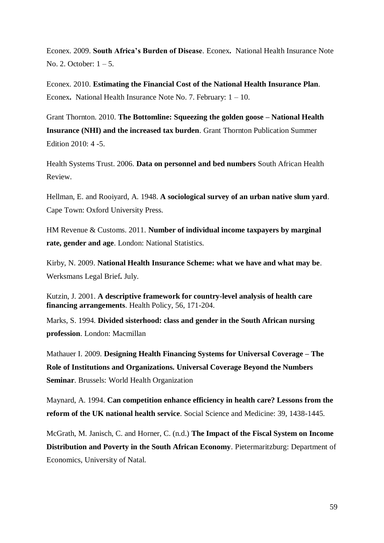Econex. 2009. **South Africa's Burden of Disease**. Econex**.** National Health Insurance Note No. 2. October: 1 – 5.

Econex. 2010. **Estimating the Financial Cost of the National Health Insurance Plan**. Econex**.** National Health Insurance Note No. 7. February: 1 – 10.

Grant Thornton. 2010. **The Bottomline: Squeezing the golden goose – National Health Insurance (NHI) and the increased tax burden**. Grant Thornton Publication Summer Edition 2010: 4 -5.

Health Systems Trust. 2006. **Data on personnel and bed numbers** South African Health Review.

Hellman, E. and Rooiyard, A. 1948. **A sociological survey of an urban native slum yard**. Cape Town: Oxford University Press.

HM Revenue & Customs. 2011. **Number of individual income taxpayers by marginal rate, gender and age**. London: National Statistics.

Kirby, N. 2009. **National Health Insurance Scheme: what we have and what may be**. Werksmans Legal Brief**.** July.

Kutzin, J. 2001. **A descriptive framework for country-level analysis of health care financing arrangements**. Health Policy, 56, 171-204.

Marks, S. 1994. **Divided sisterhood: class and gender in the South African nursing profession**. London: Macmillan

Mathauer I. 2009. **Designing Health Financing Systems for Universal Coverage – The Role of Institutions and Organizations. Universal Coverage Beyond the Numbers Seminar**. Brussels: World Health Organization

Maynard, A. 1994. **Can competition enhance efficiency in health care? Lessons from the reform of the UK national health service**. Social Science and Medicine: 39, 1438-1445.

McGrath, M. Janisch, C. and Horner, C. (n.d.) **The Impact of the Fiscal System on Income Distribution and Poverty in the South African Economy**. Pietermaritzburg: Department of Economics, University of Natal.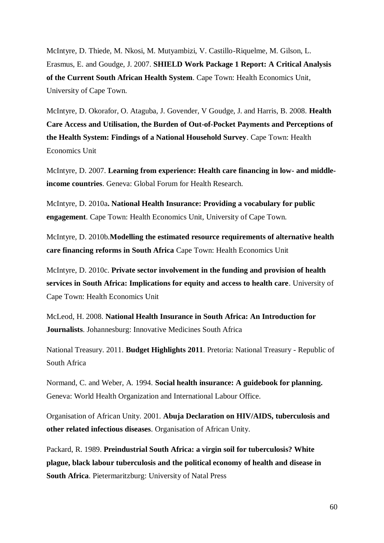McIntyre, D. Thiede, M. Nkosi, M. Mutyambizi, V. Castillo-Riquelme, M. Gilson, L. Erasmus, E. and Goudge, J. 2007. **SHIELD Work Package 1 Report: A Critical Analysis of the Current South African Health System**. Cape Town: Health Economics Unit, University of Cape Town.

McIntyre, D. Okorafor, O. Ataguba, J. Govender, V Goudge, J. and Harris, B. 2008. **Health Care Access and Utilisation, the Burden of Out-of-Pocket Payments and Perceptions of the Health System: Findings of a National Household Survey**. Cape Town: Health Economics Unit

McIntyre, D. 2007. **Learning from experience: Health care financing in low- and middleincome countries**. Geneva: Global Forum for Health Research.

McIntyre, D. 2010a**. National Health Insurance: Providing a vocabulary for public engagement**. Cape Town: Health Economics Unit, University of Cape Town.

McIntyre, D. 2010b.**Modelling the estimated resource requirements of alternative health care financing reforms in South Africa** Cape Town: Health Economics Unit

McIntyre, D. 2010c. **Private sector involvement in the funding and provision of health services in South Africa: Implications for equity and access to health care**. University of Cape Town: Health Economics Unit

McLeod, H. 2008. **National Health Insurance in South Africa: An Introduction for Journalists**. Johannesburg: Innovative Medicines South Africa

National Treasury. 2011. **Budget Highlights 2011**. Pretoria: National Treasury - Republic of South Africa

Normand, C. and Weber, A. 1994. **Social health insurance: A guidebook for planning.** Geneva: World Health Organization and International Labour Office.

Organisation of African Unity. 2001. **Abuja Declaration on HIV/AIDS, tuberculosis and other related infectious diseases**. Organisation of African Unity.

Packard, R. 1989. **Preindustrial South Africa: a virgin soil for tuberculosis? White plague, black labour tuberculosis and the political economy of health and disease in South Africa**. Pietermaritzburg: University of Natal Press